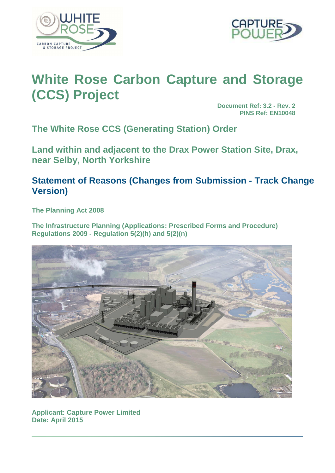



# **White Rose Carbon Capture and Storage (CCS) Project**

**Document Ref: 3.2 - Rev. 2 PINS Ref: EN10048**

**The White Rose CCS (Generating Station) Order** 

**Land within and adjacent to the Drax Power Station Site, Drax, near Selby, North Yorkshire** 

## **Statement of Reasons (Changes from Submission - Track Change Version)**

**The Planning Act 2008** 

**The Infrastructure Planning (Applications: Prescribed Forms and Procedure) Regulations 2009 - Regulation 5(2)(h) and 5(2)(n)** 



**Applicant: Capture Power Limited Date: April 2015**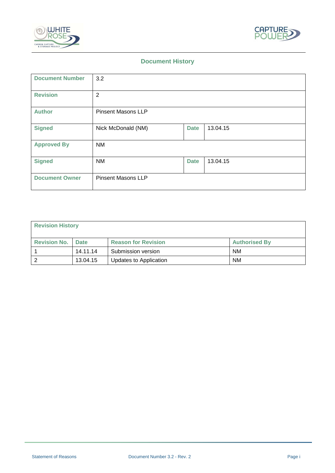



## **Document History**

| <b>Document Number</b> | 3.2                       |             |          |
|------------------------|---------------------------|-------------|----------|
| <b>Revision</b>        | $\overline{2}$            |             |          |
| <b>Author</b>          | <b>Pinsent Masons LLP</b> |             |          |
| <b>Signed</b>          | Nick McDonald (NM)        | <b>Date</b> | 13.04.15 |
| <b>Approved By</b>     | <b>NM</b>                 |             |          |
| <b>Signed</b>          | <b>NM</b>                 | <b>Date</b> | 13.04.15 |
| <b>Document Owner</b>  | <b>Pinsent Masons LLP</b> |             |          |

| <b>Revision History</b>  |          |                            |                      |
|--------------------------|----------|----------------------------|----------------------|
| <b>Revision No. Date</b> |          | <b>Reason for Revision</b> | <b>Authorised By</b> |
|                          | 14.11.14 | Submission version         | <b>NM</b>            |
| 2                        | 13.04.15 | Updates to Application     | <b>NM</b>            |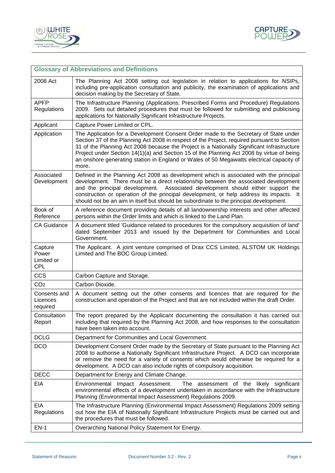



| <b>Glossary of Abbreviations and Definitions</b> |                                                                                                                                                                                                                                                                                                                                                                                                                                                                                     |  |  |
|--------------------------------------------------|-------------------------------------------------------------------------------------------------------------------------------------------------------------------------------------------------------------------------------------------------------------------------------------------------------------------------------------------------------------------------------------------------------------------------------------------------------------------------------------|--|--|
| 2008 Act                                         | The Planning Act 2008 setting out legislation in relation to applications for NSIPs,<br>including pre-application consultation and publicity, the examination of applications and<br>decision making by the Secretary of State.                                                                                                                                                                                                                                                     |  |  |
| <b>APFP</b><br>Regulations                       | The Infrastructure Planning (Applications: Prescribed Forms and Procedure) Regulations<br>2009. Sets out detailed procedures that must be followed for submitting and publicising<br>applications for Nationally Significant Infrastructure Projects.                                                                                                                                                                                                                               |  |  |
| Applicant                                        | Capture Power Limited or CPL.                                                                                                                                                                                                                                                                                                                                                                                                                                                       |  |  |
| Application                                      | The Application for a Development Consent Order made to the Secretary of State under<br>Section 37 of the Planning Act 2008 in respect of the Project, required pursuant to Section<br>31 of the Planning Act 2008 because the Project is a Nationally Significant Infrastructure<br>Project under Section 14(1)(a) and Section 15 of the Planning Act 2008 by virtue of being<br>an onshore generating station in England or Wales of 50 Megawatts electrical capacity of<br>more. |  |  |
| Associated<br>Development                        | Defined in the Planning Act 2008 as development which is associated with the principal<br>development. There must be a direct relationship between the associated development<br>and the principal development.<br>Associated development should either support the<br>construction or operation of the principal development, or help address its impacts. It<br>should not be an aim in itself but should be subordinate to the principal development.                            |  |  |
| Book of<br>Reference                             | A reference document providing details of all landownership interests and other affected<br>persons within the Order limits and which is linked to the Land Plan.                                                                                                                                                                                                                                                                                                                   |  |  |
| <b>CA Guidance</b>                               | A document titled 'Guidance related to procedures for the compulsory acquisition of land'<br>dated September 2013 and issued by the Department for Communities and Local<br>Government.                                                                                                                                                                                                                                                                                             |  |  |
| Capture<br>Power<br>Limited or<br><b>CPL</b>     | The Applicant. A joint venture comprised of Drax CCS Limited, ALSTOM UK Holdings<br>Limited and The BOC Group Limited.                                                                                                                                                                                                                                                                                                                                                              |  |  |
| <b>CCS</b>                                       | Carbon Capture and Storage.                                                                                                                                                                                                                                                                                                                                                                                                                                                         |  |  |
| CO <sub>2</sub>                                  | Carbon Dioxide.                                                                                                                                                                                                                                                                                                                                                                                                                                                                     |  |  |
| Consents and<br>Licences<br>required             | A document setting out the other consents and licences that are required for the<br>construction and operation of the Project and that are not included within the draft Order.                                                                                                                                                                                                                                                                                                     |  |  |
| Consultation<br>Report                           | The report prepared by the Applicant documenting the consultation it has carried out<br>including that required by the Planning Act 2008, and how responses to the consultation<br>have been taken into account.                                                                                                                                                                                                                                                                    |  |  |
| <b>DCLG</b>                                      | Department for Communities and Local Government.                                                                                                                                                                                                                                                                                                                                                                                                                                    |  |  |
| <b>DCO</b>                                       | Development Consent Order made by the Secretary of State pursuant to the Planning Act<br>2008 to authorise a Nationally Significant Infrastructure Project. A DCO can incorporate<br>or remove the need for a variety of consents which would otherwise be required for a<br>development. A DCO can also include rights of compulsory acquisition.                                                                                                                                  |  |  |
| <b>DECC</b>                                      | Department for Energy and Climate Change.                                                                                                                                                                                                                                                                                                                                                                                                                                           |  |  |
| EIA                                              | Environmental Impact Assessment.<br>The assessment of the likely significant<br>environmental effects of a development undertaken in accordance with the Infrastructure<br>Planning (Environmental Impact Assessment) Regulations 2009.                                                                                                                                                                                                                                             |  |  |
| EIA<br>Regulations                               | The Infrastructure Planning (Environmental Impact Assessment) Regulations 2009 setting<br>out how the EIA of Nationally Significant Infrastructure Projects must be carried out and<br>the procedures that must be followed.                                                                                                                                                                                                                                                        |  |  |
| $EN-1$                                           | Overarching National Policy Statement for Energy.                                                                                                                                                                                                                                                                                                                                                                                                                                   |  |  |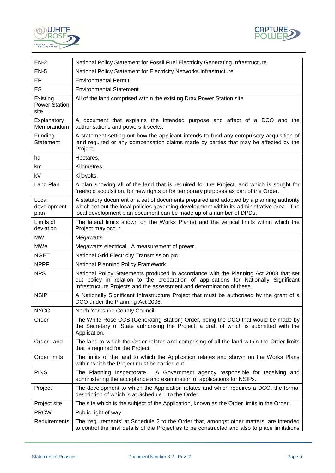



| $EN-2$                                   | National Policy Statement for Fossil Fuel Electricity Generating Infrastructure.                                                                                                                                                                             |
|------------------------------------------|--------------------------------------------------------------------------------------------------------------------------------------------------------------------------------------------------------------------------------------------------------------|
| $EN-5$                                   | National Policy Statement for Electricity Networks Infrastructure.                                                                                                                                                                                           |
| EP                                       | <b>Environmental Permit.</b>                                                                                                                                                                                                                                 |
| ES                                       | <b>Environmental Statement.</b>                                                                                                                                                                                                                              |
| Existing<br><b>Power Station</b><br>site | All of the land comprised within the existing Drax Power Station site.                                                                                                                                                                                       |
| Explanatory<br>Memorandum                | A document that explains the intended purpose and affect of a DCO and the<br>authorisations and powers it seeks.                                                                                                                                             |
| Funding<br><b>Statement</b>              | A statement setting out how the applicant intends to fund any compulsory acquisition of<br>land required or any compensation claims made by parties that may be affected by the<br>Project.                                                                  |
| ha                                       | Hectares.                                                                                                                                                                                                                                                    |
| km                                       | Kilometres.                                                                                                                                                                                                                                                  |
| kV                                       | Kilovolts.                                                                                                                                                                                                                                                   |
| Land Plan                                | A plan showing all of the land that is required for the Project, and which is sought for<br>freehold acquisition, for new rights or for temporary purposes as part of the Order.                                                                             |
| Local<br>development<br>plan             | A statutory document or a set of documents prepared and adopted by a planning authority<br>which set out the local policies governing development within its administrative area. The<br>local development plan document can be made up of a number of DPDs. |
| Limits of<br>deviation                   | The lateral limits shown on the Works Plan(s) and the vertical limits within which the<br>Project may occur.                                                                                                                                                 |
| <b>MW</b>                                | Megawatts.                                                                                                                                                                                                                                                   |
| MWe                                      | Megawatts electrical. A measurement of power.                                                                                                                                                                                                                |
| <b>NGET</b>                              | National Grid Electricity Transmission plc.                                                                                                                                                                                                                  |
| <b>NPPF</b>                              | National Planning Policy Framework.                                                                                                                                                                                                                          |
| <b>NPS</b>                               | National Policy Statements produced in accordance with the Planning Act 2008 that set<br>out policy in relation to the preparation of applications for Nationally Significant<br>Infrastructure Projects and the assessment and determination of these.      |
| <b>NSIP</b>                              | A Nationally Significant Infrastructure Project that must be authorised by the grant of a<br>DCO under the Planning Act 2008.                                                                                                                                |
| <b>NYCC</b>                              | North Yorkshire County Council.                                                                                                                                                                                                                              |
| Order                                    | The White Rose CCS (Generating Station) Order, being the DCO that would be made by<br>the Secretary of State authorising the Project, a draft of which is submitted with the<br>Application.                                                                 |
| Order Land                               | The land to which the Order relates and comprising of all the land within the Order limits<br>that is required for the Project.                                                                                                                              |
| Order limits                             | The limits of the land to which the Application relates and shown on the Works Plans<br>within which the Project must be carried out.                                                                                                                        |
| <b>PINS</b>                              | The Planning Inspectorate.<br>A Government agency responsible for receiving and<br>administering the acceptance and examination of applications for NSIPs.                                                                                                   |
| Project                                  | The development to which the Application relates and which requires a DCO, the formal<br>description of which is at Schedule 1 to the Order.                                                                                                                 |
| Project site                             | The site which is the subject of the Application, known as the Order limits in the Order.                                                                                                                                                                    |
| <b>PROW</b>                              | Public right of way.                                                                                                                                                                                                                                         |
| Requirements                             | The 'requirements' at Schedule 2 to the Order that, amongst other matters, are intended<br>to control the final details of the Project as to be constructed and also to place limitations                                                                    |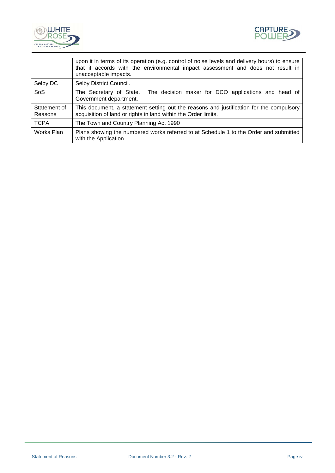



|                         | upon it in terms of its operation (e.g. control of noise levels and delivery hours) to ensure<br>that it accords with the environmental impact assessment and does not result in<br>unacceptable impacts. |  |
|-------------------------|-----------------------------------------------------------------------------------------------------------------------------------------------------------------------------------------------------------|--|
| Selby DC                | Selby District Council.                                                                                                                                                                                   |  |
| <b>SoS</b>              | The decision maker for DCO applications and head of<br>The Secretary of State.<br>Government department.                                                                                                  |  |
| Statement of<br>Reasons | This document, a statement setting out the reasons and justification for the compulsory<br>acquisition of land or rights in land within the Order limits.                                                 |  |
| <b>TCPA</b>             | The Town and Country Planning Act 1990                                                                                                                                                                    |  |
| Works Plan              | Plans showing the numbered works referred to at Schedule 1 to the Order and submitted<br>with the Application.                                                                                            |  |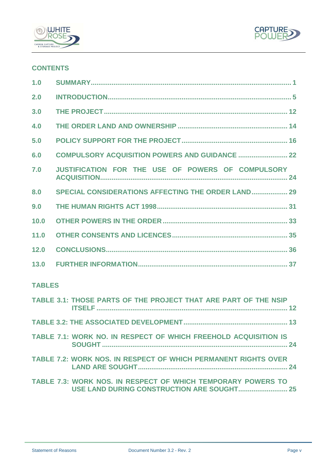



## **CONTENTS**

| 1.0  |                                                       |
|------|-------------------------------------------------------|
| 2.0  |                                                       |
| 3.0  |                                                       |
| 4.0  |                                                       |
| 5.0  |                                                       |
| 6.0  | <b>COMPULSORY ACQUISITION POWERS AND GUIDANCE  22</b> |
| 7.0  | JUSTIFICATION FOR THE USE OF POWERS OF COMPULSORY     |
| 8.0  | SPECIAL CONSIDERATIONS AFFECTING THE ORDER LAND 29    |
| 9.0  |                                                       |
| 10.0 |                                                       |
| 11.0 |                                                       |
| 12.0 |                                                       |
| 13.0 |                                                       |

## **TABLES**

| TABLE 3.1: THOSE PARTS OF THE PROJECT THAT ARE PART OF THE NSIP |  |
|-----------------------------------------------------------------|--|
|                                                                 |  |
| TABLE 7.1: WORK NO. IN RESPECT OF WHICH FREEHOLD ACQUISITION IS |  |
| TABLE 7.2: WORK NOS. IN RESPECT OF WHICH PERMANENT RIGHTS OVER  |  |
| TABLE 7.3: WORK NOS. IN RESPECT OF WHICH TEMPORARY POWERS TO    |  |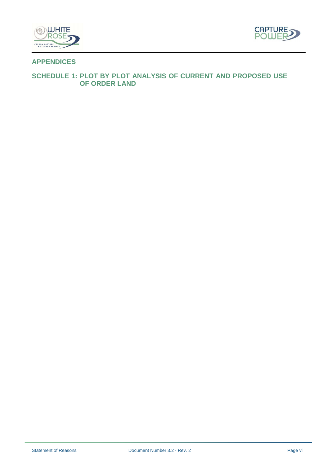



## **APPENDICES**

## **SCHEDULE 1: PLOT BY PLOT ANALYSIS OF CURRENT AND PROPOSED USE OF ORDER LAND**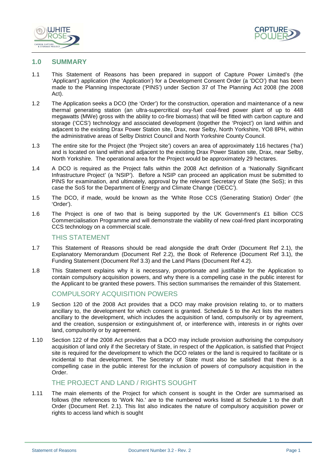



#### **1.0 SUMMARY**

- 1.1 This Statement of Reasons has been prepared in support of Capture Power Limited's (the 'Applicant') application (the 'Application') for a Development Consent Order (a 'DCO') that has been made to the Planning Inspectorate ('PINS') under Section 37 of The Planning Act 2008 (the 2008 Act).
- 1.2 The Application seeks a DCO (the 'Order') for the construction, operation and maintenance of a new thermal generating station (an ultra-supercritical oxy-fuel coal-fired power plant of up to 448 megawatts (MWe) gross with the ability to co-fire biomass) that will be fitted with carbon capture and storage ('CCS') technology and associated development (together the 'Project') on land within and adjacent to the existing Drax Power Station site, Drax, near Selby, North Yorkshire, YO8 8PH, within the administrative areas of Selby District Council and North Yorkshire County Council.
- 1.3 The entire site for the Project (the 'Project site') covers an area of approximately 116 hectares ('ha') and is located on land within and adjacent to the existing Drax Power Station site, Drax, near Selby, North Yorkshire. The operational area for the Project would be approximately 29 hectares.
- 1.4 A DCO is required as the Project falls within the 2008 Act definition of a 'Nationally Significant Infrastructure Project' (a 'NSIP'). Before a NSIP can proceed an application must be submitted to PINS for examination, and ultimately, approval by the relevant Secretary of State (the SoS); in this case the SoS for the Department of Energy and Climate Change ('DECC').
- 1.5 The DCO, if made, would be known as the 'White Rose CCS (Generating Station) Order' (the 'Order').
- 1.6 The Project is one of two that is being supported by the UK Government's £1 billion CCS Commercialisation Programme and will demonstrate the viability of new coal-fired plant incorporating CCS technology on a commercial scale.

#### THIS STATEMENT

- 1.7 This Statement of Reasons should be read alongside the draft Order (Document Ref 2.1), the Explanatory Memorandum (Document Ref 2.2), the Book of Reference (Document Ref 3.1), the Funding Statement (Document Ref 3.3) and the Land Plans (Document Ref 4.2).
- 1.8 This Statement explains why it is necessary, proportionate and justifiable for the Application to contain compulsory acquisition powers, and why there is a compelling case in the public interest for the Applicant to be granted these powers. This section summarises the remainder of this Statement.

#### COMPULSORY ACQUISITION POWERS

- 1.9 Section 120 of the 2008 Act provides that a DCO may make provision relating to, or to matters ancillary to, the development for which consent is granted. Schedule 5 to the Act lists the matters ancillary to the development, which includes the acquisition of land, compulsorily or by agreement, and the creation, suspension or extinguishment of, or interference with, interests in or rights over land, compulsorily or by agreement.
- 1.10 Section 122 of the 2008 Act provides that a DCO may include provision authorising the compulsory acquisition of land only if the Secretary of State, in respect of the Application, is satisfied that Project site is required for the development to which the DCO relates or the land is required to facilitate or is incidental to that development. The Secretary of State must also be satisfied that there is a compelling case in the public interest for the inclusion of powers of compulsory acquisition in the Order.

## THE PROJECT AND LAND / RIGHTS SOUGHT

1.11 The main elements of the Project for which consent is sought in the Order are summarised as follows (the references to 'Work No.' are to the numbered works listed at Schedule 1 to the draft Order (Document Ref. 2.1). This list also indicates the nature of compulsory acquisition power or rights to access land which is sought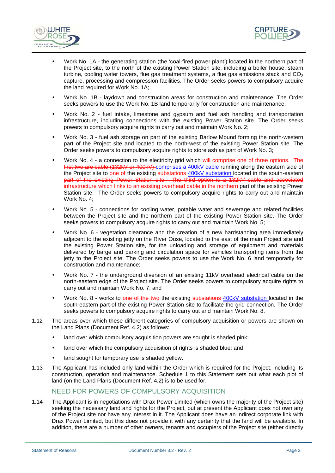



- Work No. 1A the generating station (the 'coal-fired power plant') located in the northern part of the Project site, to the north of the existing Power Station site, including a boiler house, steam turbine, cooling water towers, flue gas treatment systems, a flue gas emissions stack and  $CO<sub>2</sub>$ capture, processing and compression facilities. The Order seeks powers to compulsory acquire the land required for Work No. 1A;
- Work No. 1B laydown and construction areas for construction and maintenance. The Order seeks powers to use the Work No. 1B land temporarily for construction and maintenance;
- Work No. 2 fuel intake, limestone and gypsum and fuel ash handling and transportation infrastructure, including connections with the existing Power Station site. The Order seeks powers to compulsory acquire rights to carry out and maintain Work No. 2;
- Work No. 3 fuel ash storage on part of the existing Barlow Mound forming the north-western part of the Project site and located to the north-west of the existing Power Station site. The Order seeks powers to compulsory acquire rights to store ash as part of Work No. 3;
- Work No. 4 a connection to the electricity grid which will comprise one of three options. The first two are cable (132kV or 400kV) comprises a 400kV cable running along the eastern side of the Project site to one of the existing substations 400kV substation located in the south-eastern part of the existing Power Station site. The third option is a 132kV cable and associated infrastructure which links to an existing overhead cable in the northern part of the existing Power Station site. The Order seeks powers to compulsory acquire rights to carry out and maintain Work No. 4;
- Work No. 5 connections for cooling water, potable water and sewerage and related facilities between the Project site and the northern part of the existing Power Station site. The Order seeks powers to compulsory acquire rights to carry out and maintain Work No. 5;
- Work No. 6 vegetation clearance and the creation of a new hardstanding area immediately adjacent to the existing jetty on the River Ouse, located to the east of the main Project site and the existing Power Station site, for the unloading and storage of equipment and materials delivered by barge and parking and circulation space for vehicles transporting items from the jetty to the Project site. The Order seeks powers to use the Work No. 6 land temporarily for construction and maintenance;
- Work No. 7 the underground diversion of an existing 11kV overhead electrical cable on the north-eastern edge of the Project site. The Order seeks powers to compulsory acquire rights to carry out and maintain Work No. 7; and
- Work No. 8 works to one of the two-the existing substations 400kV substation located in the south-eastern part of the existing Power Station site to facilitate the grid connection. The Order seeks powers to compulsory acquire rights to carry out and maintain Work No. 8.
- 1.12 The areas over which these different categories of compulsory acquisition or powers are shown on the Land Plans (Document Ref. 4.2) as follows:
	- land over which compulsory acquisition powers are sought is shaded pink;
	- land over which the compulsory acquisition of rights is shaded blue; and
	- land sought for temporary use is shaded yellow.
- 1.13 The Applicant has included only land within the Order which is required for the Project, including its construction, operation and maintenance. Schedule 1 to this Statement sets out what each plot of land (on the Land Plans (Document Ref. 4.2) is to be used for.

## NEED FOR POWERS OF COMPULSORY ACQUISITION

1.14 The Applicant is in negotiations with Drax Power Limited (which owns the majority of the Project site) seeking the necessary land and rights for the Project, but at present the Applicant does not own any of the Project site nor have any interest in it. The Applicant does have an indirect corporate link with Drax Power Limited, but this does not provide it with any certainty that the land will be available. In addition, there are a number of other owners, tenants and occupiers of the Project site (either directly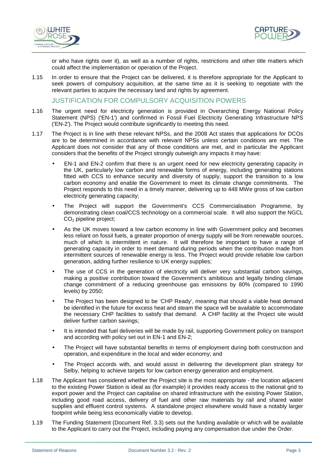



or who have rights over it), as well as a number of rights, restrictions and other title matters which could affect the implementation or operation of the Project.

1.15 In order to ensure that the Project can be delivered, it is therefore appropriate for the Applicant to seek powers of compulsory acquisition, at the same time as it is seeking to negotiate with the relevant parties to acquire the necessary land and rights by agreement.

JUSTIFICATION FOR COMPULSORY ACQUISITION POWERS

- 1.16 The urgent need for electricity generation is provided in Overarching Energy National Policy Statement (NPS) ('EN-1') and confirmed in Fossil Fuel Electricity Generating Infrastructure NPS ('EN-2'). The Project would contribute significantly to meeting this need.
- 1.17 The Project is in line with these relevant NPSs, and the 2008 Act states that applications for DCOs are to be determined in accordance with relevant NPSs unless certain conditions are met. The Applicant does not consider that any of those conditions are met, and in particular the Applicant considers that the benefits of the Project strongly outweigh any impacts it may have:
	- EN-1 and EN-2 confirm that there is an urgent need for new electricity generating capacity in the UK, particularly low carbon and renewable forms of energy, including generating stations fitted with CCS to enhance security and diversity of supply, support the transition to a low carbon economy and enable the Government to meet its climate change commitments. The Project responds to this need in a timely manner, delivering up to 448 MWe gross of low carbon electricity generating capacity;
	- The Project will support the Government's CCS Commercialisation Programme, by demonstrating clean coal/CCS technology on a commercial scale. It will also support the NGCL CO<sub>2</sub> pipeline project:
	- As the UK moves toward a low carbon economy in line with Government policy and becomes less reliant on fossil fuels, a greater proportion of energy supply will be from renewable sources, much of which is intermittent in nature. It will therefore be important to have a range of generating capacity in order to meet demand during periods when the contribution made from intermittent sources of renewable energy is less. The Project would provide reliable low carbon generation, adding further resilience to UK energy supplies;
	- The use of CCS in the generation of electricity will deliver very substantial carbon savings, making a positive contribution toward the Government's ambitious and legally binding climate change commitment of a reducing greenhouse gas emissions by 80% (compared to 1990 levels) by 2050;
	- The Project has been designed to be 'CHP Ready', meaning that should a viable heat demand be identified in the future for excess heat and steam the space will be available to accommodate the necessary CHP facilities to satisfy that demand. A CHP facility at the Project site would deliver further carbon savings;
	- It is intended that fuel deliveries will be made by rail, supporting Government policy on transport and according with policy set out in EN-1 and EN-2;
	- The Project will have substantial benefits in terms of employment during both construction and operation, and expenditure in the local and wider economy; and
	- The Project accords with, and would assist in delivering the development plan strategy for Selby, helping to achieve targets for low carbon energy generation and employment.
- 1.18 The Applicant has considered whether the Project site is the most appropriate the location adjacent to the existing Power Station is ideal as (for example) it provides ready access to the national grid to export power and the Project can capitalise on shared infrastructure with the existing Power Station, including good road access, delivery of fuel and other raw materials by rail and shared water supplies and effluent control systems. A standalone project elsewhere would have a notably larger footprint while being less economically viable to develop.
- 1.19 The Funding Statement (Document Ref. 3.3) sets out the funding available or which will be available to the Applicant to carry out the Project, including paying any compensation due under the Order.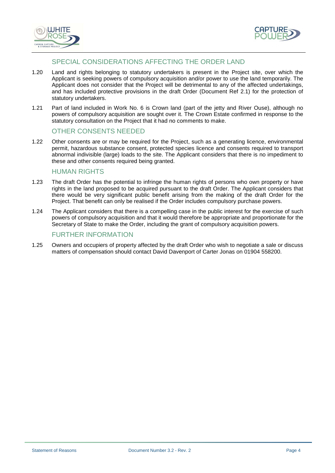



## SPECIAL CONSIDERATIONS AFFECTING THE ORDER LAND

- 1.20 Land and rights belonging to statutory undertakers is present in the Project site, over which the Applicant is seeking powers of compulsory acquisition and/or power to use the land temporarily. The Applicant does not consider that the Project will be detrimental to any of the affected undertakings, and has included protective provisions in the draft Order (Document Ref 2.1) for the protection of statutory undertakers.
- 1.21 Part of land included in Work No. 6 is Crown land (part of the jetty and River Ouse), although no powers of compulsory acquisition are sought over it. The Crown Estate confirmed in response to the statutory consultation on the Project that it had no comments to make.

## OTHER CONSENTS NEEDED

1.22 Other consents are or may be required for the Project, such as a generating licence, environmental permit, hazardous substance consent, protected species licence and consents required to transport abnormal indivisible (large) loads to the site. The Applicant considers that there is no impediment to these and other consents required being granted.

#### HUMAN RIGHTS

- 1.23 The draft Order has the potential to infringe the human rights of persons who own property or have rights in the land proposed to be acquired pursuant to the draft Order. The Applicant considers that there would be very significant public benefit arising from the making of the draft Order for the Project. That benefit can only be realised if the Order includes compulsory purchase powers.
- 1.24 The Applicant considers that there is a compelling case in the public interest for the exercise of such powers of compulsory acquisition and that it would therefore be appropriate and proportionate for the Secretary of State to make the Order, including the grant of compulsory acquisition powers.

#### FURTHER INFORMATION

1.25 Owners and occupiers of property affected by the draft Order who wish to negotiate a sale or discuss matters of compensation should contact David Davenport of Carter Jonas on 01904 558200.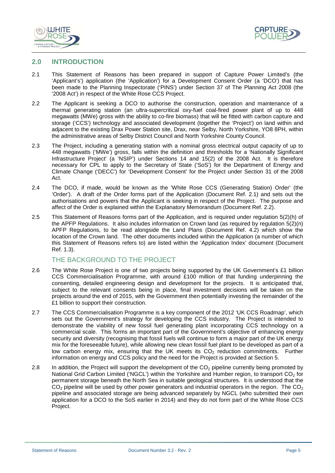



#### **2.0 INTRODUCTION**

- 2.1 This Statement of Reasons has been prepared in support of Capture Power Limited's (the 'Applicant's') application (the 'Application') for a Development Consent Order (a 'DCO') that has been made to the Planning Inspectorate ('PINS') under Section 37 of The Planning Act 2008 (the '2008 Act') in respect of the White Rose CCS Project.
- 2.2 The Applicant is seeking a DCO to authorise the construction, operation and maintenance of a thermal generating station (an ultra-supercritical oxy-fuel coal-fired power plant of up to 448 megawatts (MWe) gross with the ability to co-fire biomass) that will be fitted with carbon capture and storage ('CCS') technology and associated development (together the 'Project') on land within and adjacent to the existing Drax Power Station site, Drax, near Selby, North Yorkshire, YO8 8PH, within the administrative areas of Selby District Council and North Yorkshire County Council.
- 2.3 The Project, including a generating station with a nominal gross electrical output capacity of up to 448 megawatts ('MWe') gross, falls within the definition and thresholds for a 'Nationally Significant Infrastructure Project' (a 'NSIP') under Sections 14 and 15(2) of the 2008 Act. It is therefore necessary for CPL to apply to the Secretary of State ('SoS') for the Department of Energy and Climate Change ('DECC') for 'Development Consent' for the Project under Section 31 of the 2008 Act.
- 2.4 The DCO, if made, would be known as the 'White Rose CCS (Generating Station) Order' (the 'Order'). A draft of the Order forms part of the Application (Document Ref. 2.1) and sets out the authorisations and powers that the Applicant is seeking in respect of the Project. The purpose and affect of the Order is explained within the Explanatory Memorandum (Document Ref. 2.2).
- 2.5 This Statement of Reasons forms part of the Application, and is required under regulation 5(2)(h) of the APFP Regulations. It also includes information on Crown land (as required by regulation 5(2)(n) APFP Regulations, to be read alongside the Land Plans (Document Ref. 4.2) which show the location of the Crown land. The other documents included within the Application (a number of which this Statement of Reasons refers to) are listed within the 'Application Index' document (Document Ref. 1.3).

## THE BACKGROUND TO THE PROJECT

- 2.6 The White Rose Project is one of two projects being supported by the UK Government's £1 billion CCS Commercialisation Programme, with around £100 million of that funding underpinning the consenting, detailed engineering design and development for the projects. It is anticipated that, subject to the relevant consents being in place, final investment decisions will be taken on the projects around the end of 2015, with the Government then potentially investing the remainder of the £1 billion to support their construction.
- 2.7 The CCS Commercialisation Programme is a key component of the 2012 'UK CCS Roadmap', which sets out the Government's strategy for developing the CCS industry. The Project is intended to demonstrate the viability of new fossil fuel generating plant incorporating CCS technology on a commercial scale. This forms an important part of the Government's objective of enhancing energy security and diversity (recognising that fossil fuels will continue to form a major part of the UK energy mix for the foreseeable future), while allowing new clean fossil fuel plant to be developed as part of a low carbon energy mix, ensuring that the UK meets its  $CO<sub>2</sub>$  reduction commitments. Further information on energy and CCS policy and the need for the Project is provided at Section 5.
- 2.8 In addition, the Project will support the development of the  $CO<sub>2</sub>$  pipeline currently being promoted by National Grid Carbon Limited ('NGCL') within the Yorkshire and Humber region, to transport  $CO<sub>2</sub>$  for permanent storage beneath the North Sea in suitable geological structures. It is understood that the  $CO<sub>2</sub>$  pipeline will be used by other power generators and industrial operators in the region. The  $CO<sub>2</sub>$ pipeline and associated storage are being advanced separately by NGCL (who submitted their own application for a DCO to the SoS earlier in 2014) and they do not form part of the White Rose CCS Project.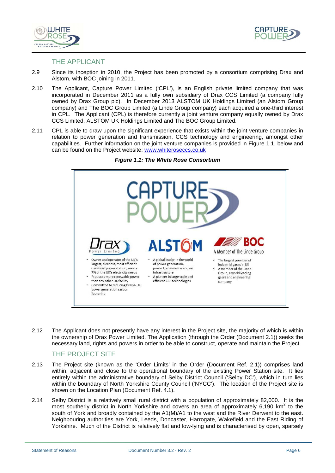



#### THE APPLICANT

- 2.9 Since its inception in 2010, the Project has been promoted by a consortium comprising Drax and Alstom, with BOC joining in 2011.
- 2.10 The Applicant, Capture Power Limited ('CPL'), is an English private limited company that was incorporated in December 2011 as a fully own subsidiary of Drax CCS Limited (a company fully owned by Drax Group plc). In December 2013 ALSTOM UK Holdings Limited (an Alstom Group company) and The BOC Group Limited (a Linde Group company) each acquired a one-third interest in CPL. The Applicant (CPL) is therefore currently a joint venture company equally owned by Drax CCS Limited, ALSTOM UK Holdings Limited and The BOC Group Limited.
- 2.11 CPL is able to draw upon the significant experience that exists within the joint venture companies in relation to power generation and transmission, CCS technology and engineering, amongst other capabilities. Further information on the joint venture companies is provided in Figure 1.1. below and can be found on the Project website: www.whiteroseccs.co.uk





2.12 The Applicant does not presently have any interest in the Project site, the majority of which is within the ownership of Drax Power Limited. The Application (through the Order (Document 2.1)) seeks the necessary land, rights and powers in order to be able to construct, operate and maintain the Project.

## THE PROJECT SITE

- 2.13 The Project site (known as the 'Order Limits' in the Order (Document Ref. 2.1)) comprises land within, adjacent and close to the operational boundary of the existing Power Station site. It lies entirely within the administrative boundary of Selby District Council ('Selby DC'), which in turn lies within the boundary of North Yorkshire County Council ('NYCC'). The location of the Project site is shown on the Location Plan (Document Ref. 4.1).
- 2.14 Selby District is a relatively small rural district with a population of approximately 82,000. It is the most southerly district in North Yorkshire and covers an area of approximately 6,190  $km^2$  to the south of York and broadly contained by the A1(M)/A1 to the west and the River Derwent to the east. Neighbouring authorities are York, Leeds, Doncaster, Harrogate, Wakefield and the East Riding of Yorkshire. Much of the District is relatively flat and low-lying and is characterised by open, sparsely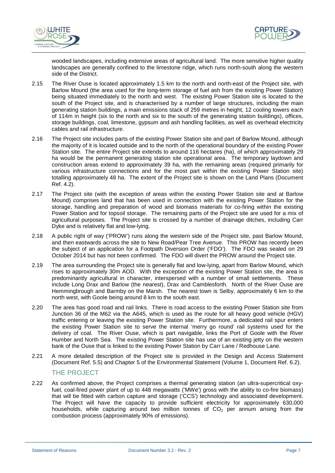



wooded landscapes, including extensive areas of agricultural land. The more sensitive higher quality landscapes are generally confined to the limestone ridge, which runs north-south along the western side of the District.

- 2.15 The River Ouse is located approximately 1.5 km to the north and north-east of the Project site, with Barlow Mound (the area used for the long-term storage of fuel ash from the existing Power Station) being situated immediately to the north and west. The existing Power Station site is located to the south of the Project site, and is characterised by a number of large structures, including the main generating station buildings, a main emissions stack of 259 metres in height, 12 cooling towers each of 114m in height (six to the north and six to the south of the generating station buildings), offices, storage buildings, coal, limestone, gypsum and ash handling facilities, as well as overhead electricity cables and rail infrastructure.
- 2.16 The Project site includes parts of the existing Power Station site and part of Barlow Mound, although the majority of it is located outside and to the north of the operational boundary of the existing Power Station site. The entire Project site extends to around 116 hectares (ha), of which approximately 29 ha would be the permanent generating station site operational area. The temporary laydown and construction areas extend to approximately 39 ha, with the remaining areas (required primarily for various infrastructure connections and for the most part within the existing Power Station site) totalling approximately 48 ha. The extent of the Project site is shown on the Land Plans (Document Ref. 4.2).
- 2.17 The Project site (with the exception of areas within the existing Power Station site and at Barlow Mound) comprises land that has been used in connection with the existing Power Station for the storage, handling and preparation of wood and biomass materials for co-firing within the existing Power Station and for topsoil storage. The remaining parts of the Project site are used for a mix of agricultural purposes. The Project site is crossed by a number of drainage ditches, including Carr Dyke and is relatively flat and low-lying.
- 2.18 A public right of way ('PROW') runs along the western side of the Project site, past Barlow Mound, and then eastwards across the site to New Road/Pear Tree Avenue. This PROW has recently been the subject of an application for a Footpath Diversion Order ('FDO'). The FDO was sealed on 29 October 2014 but has not been confirmed. The FDO will divert the PROW around the Project site.
- 2.19 The area surrounding the Project site is generally flat and low-lying, apart from Barlow Mound, which rises to approximately 30m AOD. With the exception of the existing Power Station site, the area is predominantly agricultural in character, interspersed with a number of small settlements. These include Long Drax and Barlow (the nearest), Drax and Camblesforth. North of the River Ouse are Hemmingbrough and Barmby on the Marsh. The nearest town is Selby, approximately 6 km to the north west, with Goole being around 8 km to the south east.
- 2.20 The area has good road and rail links. There is road access to the existing Power Station site from Junction 36 of the M62 via the A645, which is used as the route for all heavy good vehicle (HGV) traffic entering or leaving the existing Power Station site. Furthermore, a dedicated rail spur enters the existing Power Station site to serve the internal 'merry go round' rail systems used for the delivery of coal. The River Ouse, which is part navigable, links the Port of Goole with the River Humber and North Sea. The existing Power Station site has use of an existing jetty on the western bank of the Ouse that is linked to the existing Power Station by Carr Lane / Redhouse Lane.
- 2.21 A more detailed description of the Project site is provided in the Design and Access Statement (Document Ref. 5.5) and Chapter 5 of the Environmental Statement (Volume 1, Document Ref. 6.2).

## THE PROJECT

2.22 As confirmed above, the Project comprises a thermal generating station (an ultra-supercritical oxyfuel, coal-fired power plant of up to 448 megawatts ('MWe') gross with the ability to co-fire biomass) that will be fitted with carbon capture and storage ('CCS') technology and associated development. The Project will have the capacity to provide sufficient electricity for approximately 630,000 households, while capturing around two million tonnes of  $CO<sub>2</sub>$  per annum arising from the combustion process (approximately 90% of emissions).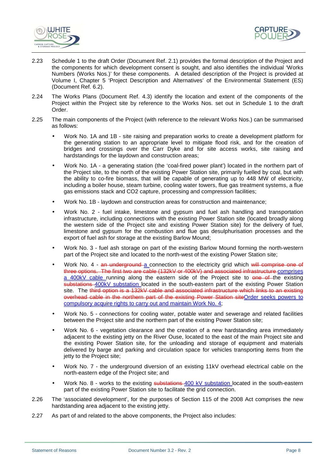



- 2.23 Schedule 1 to the draft Order (Document Ref. 2.1) provides the formal description of the Project and the components for which development consent is sought, and also identifies the individual 'Works Numbers (Works Nos.)' for these components. A detailed description of the Project is provided at Volume I, Chapter 5 'Project Description and Alternatives' of the Environmental Statement (ES) (Document Ref. 6.2).
- 2.24 The Works Plans (Document Ref. 4.3) identify the location and extent of the components of the Project within the Project site by reference to the Works Nos. set out in Schedule 1 to the draft Order.
- 2.25 The main components of the Project (with reference to the relevant Works Nos.) can be summarised as follows:
	- Work No. 1A and 1B site raising and preparation works to create a development platform for the generating station to an appropriate level to mitigate flood risk, and for the creation of bridges and crossings over the Carr Dyke and for site access works, site raising and hardstandings for the laydown and construction areas;
	- Work No. 1A a generating station (the 'coal-fired power plant') located in the northern part of the Project site, to the north of the existing Power Station site, primarily fuelled by coal, but with the ability to co-fire biomass, that will be capable of generating up to 448 MW of electricity, including a boiler house, steam turbine, cooling water towers, flue gas treatment systems, a flue gas emissions stack and CO2 capture, processing and compression facilities;
	- Work No. 1B laydown and construction areas for construction and maintenance;
	- Work No. 2 fuel intake, limestone and gypsum and fuel ash handling and transportation infrastructure, including connections with the existing Power Station site (located broadly along the western side of the Project site and existing Power Station site) for the delivery of fuel, limestone and gypsum for the combustion and flue gas desulphurisation processes and the export of fuel ash for storage at the existing Barlow Mound;
	- Work No. 3 fuel ash storage on part of the existing Barlow Mound forming the north-western part of the Project site and located to the north-west of the existing Power Station site;
	- Work No. 4 an underground a connection to the electricity grid which will comprise one of three options. The first two are cable (132kV or 400kV) and associated infrastructure comprises a 400kV cable running along the eastern side of the Project site to one of the existing substations 400kV substation located in the south-eastern part of the existing Power Station site. The third option is a 132kV cable and associated infrastructure which links to an existing overhead cable in the northern part of the existing Power Station site Order seeks powers to compulsory acquire rights to carry out and maintain Work No. 4;
	- Work No. 5 connections for cooling water, potable water and sewerage and related facilities between the Project site and the northern part of the existing Power Station site;
	- Work No. 6 vegetation clearance and the creation of a new hardstanding area immediately adjacent to the existing jetty on the River Ouse, located to the east of the main Project site and the existing Power Station site, for the unloading and storage of equipment and materials delivered by barge and parking and circulation space for vehicles transporting items from the jetty to the Project site;
	- Work No. 7 the underground diversion of an existing 11kV overhead electrical cable on the north-eastern edge of the Project site; and
	- Work No. 8 works to the existing substations 400 kV substation located in the south-eastern part of the existing Power Station site to facilitate the grid connection.
- 2.26 The 'associated development', for the purposes of Section 115 of the 2008 Act comprises the new hardstanding area adjacent to the existing jetty.
- 2.27 As part of and related to the above components, the Project also includes: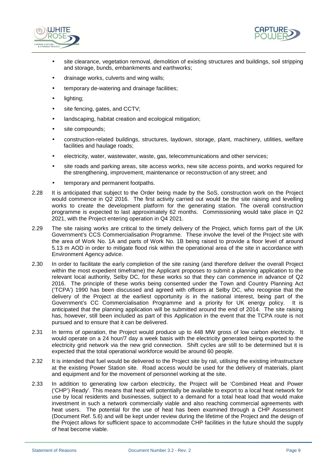



- site clearance, vegetation removal, demolition of existing structures and buildings, soil stripping and storage, bunds, embankments and earthworks;
- drainage works, culverts and wing walls;
- temporary de-watering and drainage facilities;
- lighting;
- site fencing, gates, and CCTV;
- landscaping, habitat creation and ecological mitigation;
- site compounds;
- construction-related buildings, structures, laydown, storage, plant, machinery, utilities, welfare facilities and haulage roads;
- electricity, water, wastewater, waste, gas, telecommunications and other services;
- site roads and parking areas, site access works, new site access points, and works required for the strengthening, improvement, maintenance or reconstruction of any street; and
- temporary and permanent footpaths.
- 2.28 It is anticipated that subject to the Order being made by the SoS, construction work on the Project would commence in Q2 2016. The first activity carried out would be the site raising and levelling works to create the development platform for the generating station. The overall construction programme is expected to last approximately 62 months. Commissioning would take place in Q2 2021, with the Project entering operation in Q4 2021.
- 2.29 The site raising works are critical to the timely delivery of the Project, which forms part of the UK Government's CCS Commercialisation Programme. These involve the level of the Project site with the area of Work No. 1A and parts of Work No. 1B being raised to provide a floor level of around 5.13 m AOD in order to mitigate flood risk within the operational area of the site in accordance with Environment Agency advice.
- 2.30 In order to facilitate the early completion of the site raising (and therefore deliver the overall Project within the most expedient timeframe) the Applicant proposes to submit a planning application to the relevant local authority, Selby DC, for these works so that they can commence in advance of Q2 2016. The principle of these works being consented under the Town and Country Planning Act ('TCPA') 1990 has been discussed and agreed with officers at Selby DC, who recognise that the delivery of the Project at the earliest opportunity is in the national interest, being part of the Government's CC Commercialisation Programme and a priority for UK energy policy. It is anticipated that the planning application will be submitted around the end of 2014. The site raising has, however, still been included as part of this Application in the event that the TCPA route is not pursued and to ensure that it can be delivered.
- 2.31 In terms of operation, the Project would produce up to 448 MW gross of low carbon electricity. It would operate on a 24 hour/7 day a week basis with the electricity generated being exported to the electricity grid network via the new grid connection. Shift cycles are still to be determined but it is expected that the total operational workforce would be around 60 people.
- 2.32 It is intended that fuel would be delivered to the Project site by rail, utilising the existing infrastructure at the existing Power Station site. Road access would be used for the delivery of materials, plant and equipment and for the movement of personnel working at the site.
- 2.33 In addition to generating low carbon electricity, the Project will be 'Combined Heat and Power ('CHP') Ready'. This means that heat will potentially be available to export to a local heat network for use by local residents and businesses, subject to a demand for a total heat load that would make investment in such a network commercially viable and also reaching commercial agreements with heat users. The potential for the use of heat has been examined through a CHP Assessment (Document Ref. 5.6) and will be kept under review during the lifetime of the Project and the design of the Project allows for sufficient space to accommodate CHP facilities in the future should the supply of heat become viable.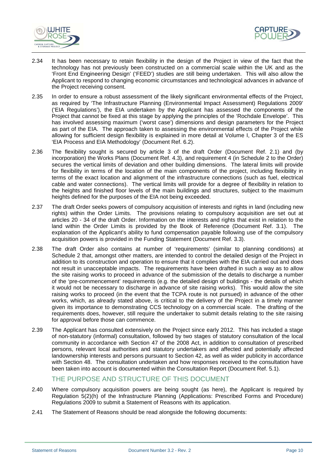



- 2.34 It has been necessary to retain flexibility in the design of the Project in view of the fact that the technology has not previously been constructed on a commercial scale within the UK and as the 'Front End Engineering Design' ('FEED') studies are still being undertaken. This will also allow the Applicant to respond to changing economic circumstances and technological advances in advance of the Project receiving consent.
- 2.35 In order to ensure a robust assessment of the likely significant environmental effects of the Project, as required by 'The Infrastructure Planning (Environmental Impact Assessment) Regulations 2009' ('EIA Regulations'), the EIA undertaken by the Applicant has assessed the components of the Project that cannot be fixed at this stage by applying the principles of the 'Rochdale Envelope'. This has involved assessing maximum ('worst case') dimensions and design parameters for the Project as part of the EIA. The approach taken to assessing the environmental effects of the Project while allowing for sufficient design flexibility is explained in more detail at Volume I, Chapter 3 of the ES 'EIA Process and EIA Methodology' (Document Ref. 6.2).
- 2.36 The flexibility sought is secured by article 3 of the draft Order (Document Ref. 2.1) and (by incorporation) the Works Plans (Document Ref. 4.3), and requirement 4 (in Schedule 2 to the Order) secures the vertical limits of deviation and other building dimensions. The lateral limits will provide for flexibility in terms of the location of the main components of the project, including flexibility in terms of the exact location and alignment of the infrastructure connections (such as fuel, electrical cable and water connections). The vertical limits will provide for a degree of flexibility in relation to the heights and finished floor levels of the main buildings and structures, subject to the maximum heights defined for the purposes of the EIA not being exceeded.
- 2.37 The draft Order seeks powers of compulsory acquisition of interests and rights in land (including new rights) within the Order Limits. The provisions relating to compulsory acquisition are set out at articles 20 - 34 of the draft Order. Information on the interests and rights that exist in relation to the land within the Order Limits is provided by the Book of Reference (Document Ref. 3.1). The explanation of the Applicant's ability to fund compensation payable following use of the compulsory acquisition powers is provided in the Funding Statement (Document Ref. 3.3).
- 2.38 The draft Order also contains at number of 'requirements' (similar to planning conditions) at Schedule 2 that, amongst other matters, are intended to control the detailed design of the Project in addition to its construction and operation to ensure that it complies with the EIA carried out and does not result in unacceptable impacts. The requirements have been drafted in such a way as to allow the site raising works to proceed in advance of the submission of the details to discharge a number of the 'pre-commencement' requirements (e.g. the detailed design of buildings - the details of which it would not be necessary to discharge in advance of site raising works). This would allow the site raising works to proceed (in the event that the TCPA route is not pursued) in advance of the other works, which, as already stated above, is critical to the delivery of the Project in a timely manner given its importance to demonstrating CCS technology on a commercial scale. The drafting of the requirements does, however, still require the undertaker to submit details relating to the site raising for approval before those can commence.
- 2.39 The Applicant has consulted extensively on the Project since early 2012. This has included a stage of non-statutory (informal) consultation, followed by two stages of statutory consultation of the local community in accordance with Section 47 of the 2008 Act, in addition to consultation of prescribed persons, relevant local authorities and statutory undertakers and affected and potentially affected landownership interests and persons pursuant to Section 42, as well as wider publicity in accordance with Section 48. The consultation undertaken and how responses received to the consultation have been taken into account is documented within the Consultation Report (Document Ref. 5.1).

## THE PURPOSE AND STRUCTURE OF THIS DOCUMENT

- 2.40 Where compulsory acquisition powers are being sought (as here), the Applicant is required by Regulation 5(2)(h) of the Infrastructure Planning (Applications: Prescribed Forms and Procedure) Regulations 2009 to submit a Statement of Reasons with its application.
- 2.41 The Statement of Reasons should be read alongside the following documents: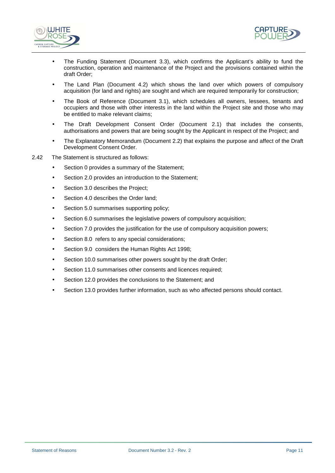



- The Funding Statement (Document 3.3), which confirms the Applicant's ability to fund the construction, operation and maintenance of the Project and the provisions contained within the draft Order;
- The Land Plan (Document 4.2) which shows the land over which powers of compulsory acquisition (for land and rights) are sought and which are required temporarily for construction;
- The Book of Reference (Document 3.1), which schedules all owners, lessees, tenants and occupiers and those with other interests in the land within the Project site and those who may be entitled to make relevant claims;
- The Draft Development Consent Order (Document 2.1) that includes the consents, authorisations and powers that are being sought by the Applicant in respect of the Project; and
- The Explanatory Memorandum (Document 2.2) that explains the purpose and affect of the Draft Development Consent Order.
- 2.42 The Statement is structured as follows:
	- Section 0 provides a summary of the Statement;
	- Section 2.0 provides an introduction to the Statement;
	- Section 3.0 describes the Project;
	- Section 4.0 describes the Order land;
	- Section 5.0 summarises supporting policy:
	- Section 6.0 summarises the legislative powers of compulsory acquisition;
	- Section 7.0 provides the justification for the use of compulsory acquisition powers;
	- Section 8.0 refers to any special considerations;
	- Section 9.0 considers the Human Rights Act 1998;
	- Section 10.0 summarises other powers sought by the draft Order;
	- Section 11.0 summarises other consents and licences required;
	- Section 12.0 provides the conclusions to the Statement; and
	- Section 13.0 provides further information, such as who affected persons should contact.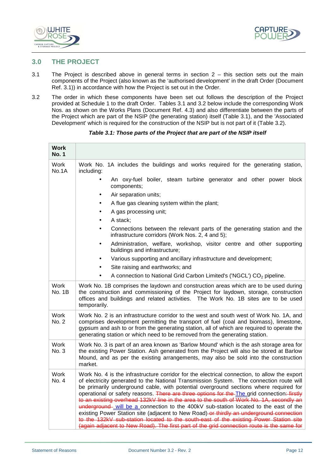



## **3.0 THE PROJECT**

- 3.1 The Project is described above in general terms in section 2 this section sets out the main components of the Project (also known as the 'authorised development' in the draft Order (Document Ref. 3.1)) in accordance with how the Project is set out in the Order.
- 3.2 The order in which these components have been set out follows the description of the Project provided at Schedule 1 to the draft Order. Tables 3.1 and 3.2 below include the corresponding Work Nos. as shown on the Works Plans (Document Ref. 4.3) and also differentiate between the parts of the Project which are part of the NSIP (the generating station) itself (Table 3.1), and the 'Associated Development' which is required for the construction of the NSIP but is not part of it (Table 3.2).

| <b>Work</b><br><b>No. 1</b> |                                                                                                                                                                                                                                                                                                                                                                                                                                                                                                                                                                                                                                                                                                                                                                                                                                                     |  |  |
|-----------------------------|-----------------------------------------------------------------------------------------------------------------------------------------------------------------------------------------------------------------------------------------------------------------------------------------------------------------------------------------------------------------------------------------------------------------------------------------------------------------------------------------------------------------------------------------------------------------------------------------------------------------------------------------------------------------------------------------------------------------------------------------------------------------------------------------------------------------------------------------------------|--|--|
| Work<br>No.1A               | Work No. 1A includes the buildings and works required for the generating station,<br>including:                                                                                                                                                                                                                                                                                                                                                                                                                                                                                                                                                                                                                                                                                                                                                     |  |  |
|                             | An oxy-fuel boiler, steam turbine generator and other power block<br>components;                                                                                                                                                                                                                                                                                                                                                                                                                                                                                                                                                                                                                                                                                                                                                                    |  |  |
|                             | Air separation units;                                                                                                                                                                                                                                                                                                                                                                                                                                                                                                                                                                                                                                                                                                                                                                                                                               |  |  |
|                             | A flue gas cleaning system within the plant;                                                                                                                                                                                                                                                                                                                                                                                                                                                                                                                                                                                                                                                                                                                                                                                                        |  |  |
|                             | A gas processing unit;                                                                                                                                                                                                                                                                                                                                                                                                                                                                                                                                                                                                                                                                                                                                                                                                                              |  |  |
|                             | A stack;                                                                                                                                                                                                                                                                                                                                                                                                                                                                                                                                                                                                                                                                                                                                                                                                                                            |  |  |
|                             | Connections between the relevant parts of the generating station and the<br>infrastructure corridors (Work Nos. 2, 4 and 5);                                                                                                                                                                                                                                                                                                                                                                                                                                                                                                                                                                                                                                                                                                                        |  |  |
|                             | Administration, welfare, workshop, visitor centre and other supporting<br>buildings and infrastructure;                                                                                                                                                                                                                                                                                                                                                                                                                                                                                                                                                                                                                                                                                                                                             |  |  |
|                             | Various supporting and ancillary infrastructure and development;                                                                                                                                                                                                                                                                                                                                                                                                                                                                                                                                                                                                                                                                                                                                                                                    |  |  |
|                             | Site raising and earthworks; and                                                                                                                                                                                                                                                                                                                                                                                                                                                                                                                                                                                                                                                                                                                                                                                                                    |  |  |
|                             | A connection to National Grid Carbon Limited's ('NGCL') CO <sub>2</sub> pipeline.                                                                                                                                                                                                                                                                                                                                                                                                                                                                                                                                                                                                                                                                                                                                                                   |  |  |
| Work<br><b>No. 1B</b>       | Work No. 1B comprises the laydown and construction areas which are to be used during<br>the construction and commissioning of the Project for laydown, storage, construction<br>offices and buildings and related activities. The Work No. 1B sites are to be used<br>temporarily.                                                                                                                                                                                                                                                                                                                                                                                                                                                                                                                                                                  |  |  |
| <b>Work</b><br>No. 2        | Work No. 2 is an infrastructure corridor to the west and south west of Work No. 1A, and<br>comprises development permitting the transport of fuel (coal and biomass), limestone,<br>gypsum and ash to or from the generating station, all of which are required to operate the<br>generating station or which need to be removed from the generating station.                                                                                                                                                                                                                                                                                                                                                                                                                                                                                       |  |  |
| Work<br>No. 3               | Work No. 3 is part of an area known as 'Barlow Mound' which is the ash storage area for<br>the existing Power Station. Ash generated from the Project will also be stored at Barlow<br>Mound, and as per the existing arrangements, may also be sold into the construction<br>market.                                                                                                                                                                                                                                                                                                                                                                                                                                                                                                                                                               |  |  |
| Work<br>No. 4               | Work No. 4 is the infrastructure corridor for the electrical connection, to allow the export<br>of electricity generated to the National Transmission System. The connection route will<br>be primarily underground cable, with potential overground sections where required for<br>operational or safety reasons. There are three options for the The grid connection: firstly<br>to an existing overhead 132kV line in the area to the south of Work No. 1A, secondly an<br>underground-will be a connection to the 400kV sub-station located to the east of the<br>existing Power Station site (adjacent to New Road)-or thirdly an underground connection<br>to the 132kV sub-station located to the south-east of the existing Power Station site<br>(again adjacent to New Road). The first part of the grid connection route is the same for |  |  |

#### **Table 3.1: Those parts of the Project that are part of the NSIP itself**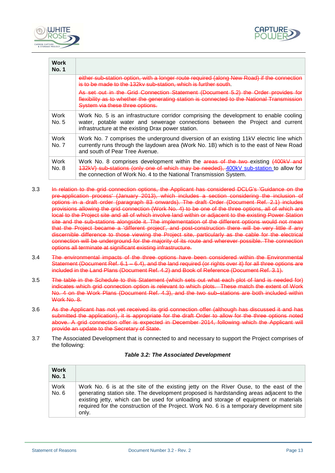



| Work<br><b>No. 1</b> |                                                                                                                                                                                                                                                |
|----------------------|------------------------------------------------------------------------------------------------------------------------------------------------------------------------------------------------------------------------------------------------|
|                      | either sub-station option, with a longer route required (along New Road) if the connection<br>is to be made to the 132ky sub-station, which is further south.                                                                                  |
|                      | As set out in the Grid Connection Statement (Document 5.2) the Order provides for<br>flexibility as to whether the generating station is connected to the National Transmission<br>System via these three options.                             |
| Work<br>No. 5        | Work No. 5 is an infrastructure corridor comprising the development to enable cooling<br>water, potable water and sewerage connections between the Project and current<br>infrastructure at the existing Drax power station.                   |
| Work<br>No. 7        | Work No. 7 comprises the underground diversion of an existing 11kV electric line which<br>currently runs through the laydown area (Work No. 1B) which is to the east of New Road<br>and south of Pear Tree Avenue.                             |
| Work<br>No. 8        | Work No. 8 comprises development within the areas of the two existing (400kV and<br>132kV) sub-stations (only one of which may be needed), 400kV sub-station to allow for<br>the connection of Work No. 4 to the National Transmission System. |

- 3.3 In relation to the grid connection options, the Applicant has considered DCLG's 'Guidance on the pre-application process' (January 2013), which includes a section considering the inclusion of options in a draft order (paragraph 83 onwards). The draft Order (Document Ref. 2.1) includes provisions allowing the grid connection (Work No. 4) to be one of the three options, all of which are local to the Project site and all of which involve land within or adjacent to the existing Power Station site and the sub-stations alongside it. The implementation of the different options would not mean that the Project became a 'different project', and post-construction there will be very little if any discernible difference to those viewing the Project site, particularly as the cable for the electrical connection will be underground for the majority of its route and wherever possible. The connection options all terminate at significant existing infrastructure.
- 3.4 The environmental impacts of the three options have been considered within the Environmental Statement (Document Ref. 6.1 – 6.4), and the land required (or rights over it) for all three options are included in the Land Plans (Document Ref. 4.2) and Book of Reference (Document Ref. 3.1).
- 3.5 The table in the Schedule to this Statement (which sets out what each plot of land is needed for) indicates which grid connection option is relevant to which plots. These match the extent of Work No. 4 on the Work Plans (Document Ref. 4.3), and the two sub–stations are both included within Work No. 8.
- 3.6 As the Applicant has not yet received its grid connection offer (although has discussed it and has submitted the application), it is appropriate for the draft Order to allow for the three options noted above. A grid connection offer is expected in December 2014, following which the Applicant will provide an update to the Secretary of State.
- 3.7 The Associated Development that is connected to and necessary to support the Project comprises of the following:

| <b>Work</b><br><b>No. 1</b> |                                                                                                                                                                                                                                                                                                                                                                                |
|-----------------------------|--------------------------------------------------------------------------------------------------------------------------------------------------------------------------------------------------------------------------------------------------------------------------------------------------------------------------------------------------------------------------------|
| Work<br>No. 6               | Work No. 6 is at the site of the existing jetty on the River Ouse, to the east of the<br>generating station site. The development proposed is hardstanding areas adjacent to the<br>existing jetty, which can be used for unloading and storage of equipment or materials<br>required for the construction of the Project. Work No. 6 is a temporary development site<br>only. |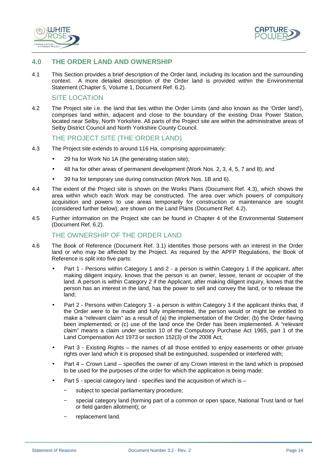



## **4.0 THE ORDER LAND AND OWNERSHIP**

4.1 This Section provides a brief description of the Order land, including its location and the surrounding context. A more detailed description of the Order land is provided within the Environmental Statement (Chapter 5, Volume 1, Document Ref. 6.2).

#### SITE LOCATION

4.2 The Project site i.e. the land that lies within the Order Limits (and also known as the 'Order land'), comprises land within, adjacent and close to the boundary of the existing Drax Power Station, located near Selby, North Yorkshire. All parts of the Project site are within the administrative areas of Selby District Council and North Yorkshire County Council.

#### THE PROJECT SITE (THE ORDER LAND)

- 4.3 The Project site extends to around 116 Ha, comprising approximately:
	- 29 ha for Work No 1A (the generating station site);
	- 48 ha for other areas of permanent development (Work Nos. 2, 3, 4, 5, 7 and 8); and
	- 39 ha for temporary use during construction (Work Nos. 1B and 6).
- 4.4 The extent of the Project site is shown on the Works Plans (Document Ref. 4.3), which shows the area within which each Work may be constructed. The area over which powers of compulsory acquisition and powers to use areas temporarily for construction or maintenance are sought (considered further below), are shown on the Land Plans (Document Ref. 4.2).
- 4.5 Further information on the Project site can be found in Chapter 4 of the Environmental Statement (Document Ref. 6.2).

#### THE OWNERSHIP OF THE ORDER LAND

- 4.6 The Book of Reference (Document Ref. 3.1) identifies those persons with an interest in the Order land or who may be affected by the Project. As required by the APFP Regulations, the Book of Reference is split into five parts:
	- Part 1 Persons within Category 1 and 2 a person is within Category 1 if the applicant, after making diligent inquiry, knows that the person is an owner, lessee, tenant or occupier of the land. A person is within Category 2 if the Applicant, after making diligent inquiry, knows that the person has an interest in the land, has the power to sell and convey the land, or to release the land;
	- Part 2 Persons within Category 3 a person is within Category 3 if the applicant thinks that, if the Order were to be made and fully implemented, the person would or might be entitled to make a "relevant claim" as a result of (a) the implementation of the Order; (b) the Order having been implemented; or (c) use of the land once the Order has been implemented. A "relevant claim" means a claim under section 10 of the Compulsory Purchase Act 1965, part 1 of the Land Compensation Act 1973 or section 152(3) of the 2008 Act;
	- Part 3 Existing Rights the names of all those entitled to enjoy easements or other private rights over land which it is proposed shall be extinguished, suspended or interfered with;
	- Part 4 Crown Land specifies the owner of any Crown interest in the land which is proposed to be used for the purposes of the order for which the application is being made;
	- Part 5 special category land specifies land the acquisition of which is
		- − subject to special parliamentary procedure;
		- − special category land (forming part of a common or open space, National Trust land or fuel or field garden allotment); or
		- − replacement land.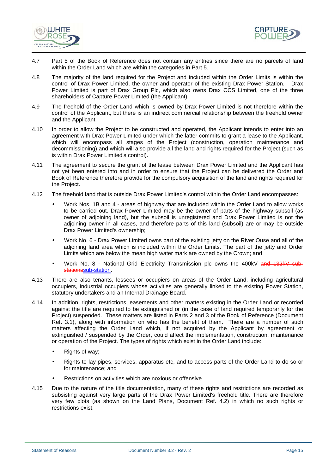



- 4.7 Part 5 of the Book of Reference does not contain any entries since there are no parcels of land within the Order Land which are within the categories in Part 5.
- 4.8 The majority of the land required for the Project and included within the Order Limits is within the control of Drax Power Limited, the owner and operator of the existing Drax Power Station. Drax Power Limited is part of Drax Group Plc, which also owns Drax CCS Limited, one of the three shareholders of Capture Power Limited (the Applicant).
- 4.9 The freehold of the Order Land which is owned by Drax Power Limited is not therefore within the control of the Applicant, but there is an indirect commercial relationship between the freehold owner and the Applicant.
- 4.10 In order to allow the Project to be constructed and operated, the Applicant intends to enter into an agreement with Drax Power Limited under which the latter commits to grant a lease to the Applicant, which will encompass all stages of the Project (construction, operation maintenance and decommissioning) and which will also provide all the land and rights required for the Project (such as is within Drax Power Limited's control).
- 4.11 The agreement to secure the grant of the lease between Drax Power Limited and the Applicant has not yet been entered into and in order to ensure that the Project can be delivered the Order and Book of Reference therefore provide for the compulsory acquisition of the land and rights required for the Project.
- 4.12 The freehold land that is outside Drax Power Limited's control within the Order Land encompasses:
	- Work Nos. 1B and 4 areas of highway that are included within the Order Land to allow works to be carried out. Drax Power Limited may be the owner of parts of the highway subsoil (as owner of adjoining land), but the subsoil is unregistered and Drax Power Limited is not the adjoining owner in all cases, and therefore parts of this land (subsoil) are or may be outside Drax Power Limited's ownership;
	- Work No. 6 Drax Power Limited owns part of the existing jetty on the River Ouse and all of the adjoining land area which is included within the Order Limits. The part of the jetty and Order Limits which are below the mean high water mark are owned by the Crown; and
	- Work No. 8 National Grid Electricity Transmission plc owns the 400kV and 132kV substationssub-station.
- 4.13 There are also tenants, lessees or occupiers on areas of the Order Land, including agricultural occupiers, industrial occupiers whose activities are generally linked to the existing Power Station, statutory undertakers and an Internal Drainage Board.
- 4.14 In addition, rights, restrictions, easements and other matters existing in the Order Land or recorded against the title are required to be extinguished or (in the case of land required temporarily for the Project) suspended. These matters are listed in Parts 2 and 3 of the Book of Reference (Document Ref. 3.1), along with information on who has the benefit of them. There are a number of such matters affecting the Order Land which, if not acquired by the Applicant by agreement or extinguished / suspended by the Order, could affect the implementation, construction, maintenance or operation of the Project. The types of rights which exist in the Order Land include:
	- Rights of way:
	- Rights to lay pipes, services, apparatus etc, and to access parts of the Order Land to do so or for maintenance; and
	- Restrictions on activities which are noxious or offensive.
- 4.15 Due to the nature of the title documentation, many of these rights and restrictions are recorded as subsisting against very large parts of the Drax Power Limited's freehold title. There are therefore very few plots (as shown on the Land Plans, Document Ref. 4.2) in which no such rights or restrictions exist.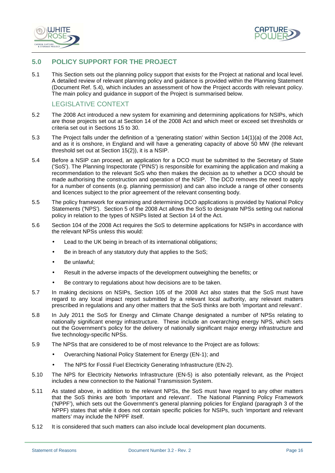



## **5.0 POLICY SUPPORT FOR THE PROJECT**

5.1 This Section sets out the planning policy support that exists for the Project at national and local level. A detailed review of relevant planning policy and guidance is provided within the Planning Statement (Document Ref. 5.4), which includes an assessment of how the Project accords with relevant policy. The main policy and guidance in support of the Project is summarised below.

## LEGISLATIVE CONTEXT

- 5.2 The 2008 Act introduced a new system for examining and determining applications for NSIPs, which are those projects set out at Section 14 of the 2008 Act and which meet or exceed set thresholds or criteria set out in Sections 15 to 30.
- 5.3 The Project falls under the definition of a 'generating station' within Section 14(1)(a) of the 2008 Act, and as it is onshore, in England and will have a generating capacity of above 50 MW (the relevant threshold set out at Section 15(2)), it is a NSIP.
- 5.4 Before a NSIP can proceed, an application for a DCO must be submitted to the Secretary of State ('SoS'). The Planning Inspectorate ('PINS') is responsible for examining the application and making a recommendation to the relevant SoS who then makes the decision as to whether a DCO should be made authorising the construction and operation of the NSIP. The DCO removes the need to apply for a number of consents (e.g. planning permission) and can also include a range of other consents and licences subject to the prior agreement of the relevant consenting body.
- 5.5 The policy framework for examining and determining DCO applications is provided by National Policy Statements ('NPS'). Section 5 of the 2008 Act allows the SoS to designate NPSs setting out national policy in relation to the types of NSIPs listed at Section 14 of the Act.
- 5.6 Section 104 of the 2008 Act requires the SoS to determine applications for NSIPs in accordance with the relevant NPSs unless this would:
	- Lead to the UK being in breach of its international obligations;
	- Be in breach of any statutory duty that applies to the SoS;
	- Be unlawful:
	- Result in the adverse impacts of the development outweighing the benefits; or
	- Be contrary to regulations about how decisions are to be taken.
- 5.7 In making decisions on NSIPs, Section 105 of the 2008 Act also states that the SoS must have regard to any local impact report submitted by a relevant local authority, any relevant matters prescribed in regulations and any other matters that the SoS thinks are both 'important and relevant'.
- 5.8 In July 2011 the SoS for Energy and Climate Change designated a number of NPSs relating to nationally significant energy infrastructure. These include an overarching energy NPS, which sets out the Government's policy for the delivery of nationally significant major energy infrastructure and five technology-specific NPSs.
- 5.9 The NPSs that are considered to be of most relevance to the Project are as follows:
	- Overarching National Policy Statement for Energy (EN-1); and
	- The NPS for Fossil Fuel Electricity Generating Infrastructure (EN-2).
- 5.10 The NPS for Electricity Networks Infrastructure (EN-5) is also potentially relevant, as the Project includes a new connection to the National Transmission System.
- 5.11 As stated above, in addition to the relevant NPSs, the SoS must have regard to any other matters that the SoS thinks are both 'important and relevant'. The National Planning Policy Framework ('NPPF'), which sets out the Government's general planning policies for England (paragraph 3 of the NPPF) states that while it does not contain specific policies for NSIPs, such 'important and relevant matters' may include the NPPF itself.
- 5.12 It is considered that such matters can also include local development plan documents.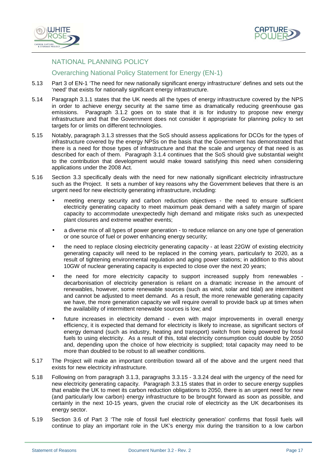



## NATIONAL PLANNING POLICY

## Overarching National Policy Statement for Energy (EN-1)

- 5.13 Part 3 of EN-1 'The need for new nationally significant energy infrastructure' defines and sets out the 'need' that exists for nationally significant energy infrastructure.
- 5.14 Paragraph 3.1.1 states that the UK needs all the types of energy infrastructure covered by the NPS in order to achieve energy security at the same time as dramatically reducing greenhouse gas emissions. Paragraph 3.1.2 goes on to state that it is for industry to propose new energy infrastructure and that the Government does not consider it appropriate for planning policy to set targets for or limits on different technologies.
- 5.15 Notably, paragraph 3.1.3 stresses that the SoS should assess applications for DCOs for the types of infrastructure covered by the energy NPSs on the basis that the Government has demonstrated that there is a need for those types of infrastructure and that the scale and urgency of that need is as described for each of them. Paragraph 3.1.4 continues that the SoS should give substantial weight to the contribution that development would make toward satisfying this need when considering applications under the 2008 Act.
- 5.16 Section 3.3 specifically deals with the need for new nationally significant electricity infrastructure such as the Project. It sets a number of key reasons why the Government believes that there is an urgent need for new electricity generating infrastructure, including:
	- meeting energy security and carbon reduction objectives the need to ensure sufficient electricity generating capacity to meet maximum peak demand with a safety margin of spare capacity to accommodate unexpectedly high demand and mitigate risks such as unexpected plant closures and extreme weather events;
	- a diverse mix of all types of power generation to reduce reliance on any one type of generation or one source of fuel or power enhancing energy security;
	- the need to replace closing electricity generating capacity at least 22GW of existing electricity generating capacity will need to be replaced in the coming years, particularly to 2020, as a result of tightening environmental regulation and aging power stations; in addition to this about 10GW of nuclear generating capacity is expected to close over the next 20 years;
	- the need for more electricity capacity to support increased supply from renewables decarbonisation of electricity generation is reliant on a dramatic increase in the amount of renewables, however, some renewable sources (such as wind, solar and tidal) are intermittent and cannot be adjusted to meet demand. As a result, the more renewable generating capacity we have, the more generation capacity we will require overall to provide back up at times when the availability of intermittent renewable sources is low; and
	- future increases in electricity demand even with major improvements in overall energy efficiency, it is expected that demand for electricity is likely to increase, as significant sectors of energy demand (such as industry, heating and transport) switch from being powered by fossil fuels to using electricity. As a result of this, total electricity consumption could double by 2050 and, depending upon the choice of how electricity is supplied; total capacity may need to be more than doubled to be robust to all weather conditions.
- 5.17 The Project will make an important contribution toward all of the above and the urgent need that exists for new electricity infrastructure.
- 5.18 Following on from paragraph 3.1.3, paragraphs 3.3.15 3.3.24 deal with the urgency of the need for new electricity generating capacity. Paragraph 3.3.15 states that in order to secure energy supplies that enable the UK to meet its carbon reduction obligations to 2050, there is an urgent need for new (and particularly low carbon) energy infrastructure to be brought forward as soon as possible, and certainly in the next 10-15 years, given the crucial role of electricity as the UK decarbonises its energy sector.
- 5.19 Section 3.6 of Part 3 'The role of fossil fuel electricity generation' confirms that fossil fuels will continue to play an important role in the UK's energy mix during the transition to a low carbon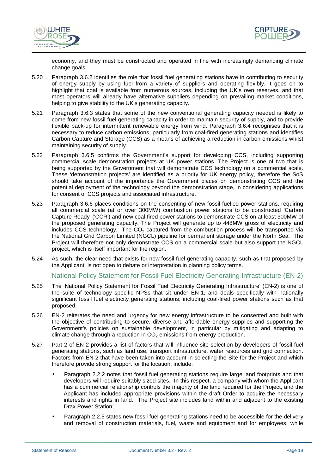



economy, and they must be constructed and operated in line with increasingly demanding climate change goals.

- 5.20 Paragraph 3.6.2 identifies the role that fossil fuel generating stations have in contributing to security of energy supply by using fuel from a variety of suppliers and operating flexibly. It goes on to highlight that coal is available from numerous sources, including the UK's own reserves, and that most operators will already have alternative suppliers depending on prevailing market conditions, helping to give stability to the UK's generating capacity.
- 5.21 Paragraph 3.6.3 states that some of the new conventional generating capacity needed is likely to come from new fossil fuel generating capacity in order to maintain security of supply, and to provide flexible back-up for intermittent renewable energy from wind. Paragraph 3.6.4 recognises that it is necessary to reduce carbon emissions, particularly from coal-fired generating stations and identifies Carbon Capture and Storage (CCS) as a means of achieving a reduction in carbon emissions whilst maintaining security of supply.
- 5.22 Paragraph 3.6.5 confirms the Government's support for developing CCS, including supporting commercial scale demonstration projects at UK power stations. The Project is one of two that is being supported by the Government that will demonstrate CCS technology on a commercial scale. These 'demonstration projects' are identified as a priority for UK energy policy, therefore the SoS should take account of the importance the Government places on demonstrating CCS and the potential deployment of the technology beyond the demonstration stage, in considering applications for consent of CCS projects and associated infrastructure.
- 5.23 Paragraph 3.6.6 places conditions on the consenting of new fossil fuelled power stations, requiring all commercial scale (at or over 300MW) combustion power stations to be constructed 'Carbon Capture Ready' ('CCR') and new coal-fired power stations to demonstrate CCS on at least 300MW of the proposed generating capacity. The Project will generate up to 448MW gross of electricity and includes CCS technology. The  $CO<sub>2</sub>$  captured from the combustion process will be transported via the National Grid Carbon Limited (NGCL) pipeline for permanent storage under the North Sea. The Project will therefore not only demonstrate CCS on a commercial scale but also support the NGCL project, which is itself important for the region.
- 5.24 As such, the clear need that exists for new fossil fuel generating capacity, such as that proposed by the Applicant, is not open to debate or interpretation in planning policy terms.

#### National Policy Statement for Fossil Fuel Electricity Generating Infrastructure (EN-2)

- 5.25 The 'National Policy Statement for Fossil Fuel Electricity Generating Infrastructure' (EN-2) is one of the suite of technology specific NPSs that sit under EN-1, and deals specifically with nationally significant fossil fuel electricity generating stations, including coal-fired power stations such as that proposed.
- 5.26 EN-2 reiterates the need and urgency for new energy infrastructure to be consented and built with the objective of contributing to secure, diverse and affordable energy supplies and supporting the Government's policies on sustainable development, in particular by mitigating and adapting to climate change through a reduction in  $CO<sub>2</sub>$  emissions from energy production.
- 5.27 Part 2 of EN-2 provides a list of factors that will influence site selection by developers of fossil fuel generating stations, such as land use, transport infrastructure, water resources and grid connection. Factors from EN-2 that have been taken into account in selecting the Site for the Project and which therefore provide strong support for the location, include:
	- Paragraph 2.2.2 notes that fossil fuel generating stations require large land footprints and that developers will require suitably sized sites. In this respect, a company with whom the Applicant has a commercial relationship controls the majority of the land required for the Project, and the Applicant has included appropriate provisions within the draft Order to acquire the necessary interests and rights in land. The Project site includes land within and adjacent to the existing Drax Power Station;
	- Paragraph 2.2.5 states new fossil fuel generating stations need to be accessible for the delivery and removal of construction materials, fuel, waste and equipment and for employees, while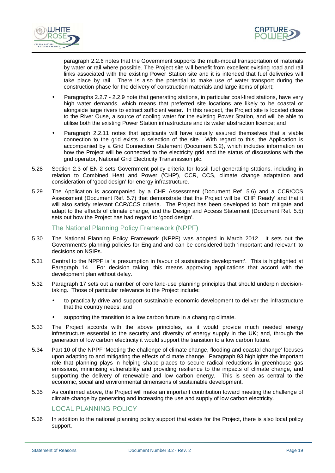



paragraph 2.2.6 notes that the Government supports the multi-modal transportation of materials by water or rail where possible. The Project site will benefit from excellent existing road and rail links associated with the existing Power Station site and it is intended that fuel deliveries will take place by rail. There is also the potential to make use of water transport during the construction phase for the delivery of construction materials and large items of plant;

- Paragraphs 2.2.7 2.2.9 note that generating stations, in particular coal-fired stations, have very high water demands, which means that preferred site locations are likely to be coastal or alongside large rivers to extract sufficient water. In this respect, the Project site is located close to the River Ouse, a source of cooling water for the existing Power Station, and will be able to utilise both the existing Power Station infrastructure and its water abstraction licence; and
- Paragraph 2.2.11 notes that applicants will have usually assured themselves that a viable connection to the grid exists in selection of the site. With regard to this, the Application is accompanied by a Grid Connection Statement (Document 5.2), which includes information on how the Project will be connected to the electricity grid and the status of discussions with the grid operator, National Grid Electricity Transmission plc.
- 5.28 Section 2.3 of EN-2 sets Government policy criteria for fossil fuel generating stations, including in relation to Combined Heat and Power ('CHP'), CCR, CCS, climate change adaptation and consideration of 'good design' for energy infrastructure.
- 5.29 The Application is accompanied by a CHP Assessment (Document Ref. 5.6) and a CCR/CCS Assessment (Document Ref. 5.7) that demonstrate that the Project will be 'CHP Ready' and that it will also satisfy relevant CCR/CCS criteria. The Project has been developed to both mitigate and adapt to the effects of climate change, and the Design and Access Statement (Document Ref. 5.5) sets out how the Project has had regard to 'good design'.

#### The National Planning Policy Framework (NPPF)

- 5.30 The National Planning Policy Framework (NPPF) was adopted in March 2012. It sets out the Government's planning policies for England and can be considered both 'important and relevant' to decisions on NSIPs.
- 5.31 Central to the NPPF is 'a presumption in favour of sustainable development'. This is highlighted at Paragraph 14. For decision taking, this means approving applications that accord with the development plan without delay.
- 5.32 Paragraph 17 sets out a number of core land-use planning principles that should underpin decisiontaking. Those of particular relevance to the Project include:
	- to practically drive and support sustainable economic development to deliver the infrastructure that the country needs; and
	- supporting the transition to a low carbon future in a changing climate.
- 5.33 The Project accords with the above principles, as it would provide much needed energy infrastructure essential to the security and diversity of energy supply in the UK; and, through the generation of low carbon electricity it would support the transition to a low carbon future.
- 5.34 Part 10 of the NPPF 'Meeting the challenge of climate change, flooding and coastal change' focuses upon adapting to and mitigating the effects of climate change. Paragraph 93 highlights the important role that planning plays in helping shape places to secure radical reductions in greenhouse gas emissions, minimising vulnerability and providing resilience to the impacts of climate change, and supporting the delivery of renewable and low carbon energy. This is seen as central to the economic, social and environmental dimensions of sustainable development.
- 5.35 As confirmed above, the Project will make an important contribution toward meeting the challenge of climate change by generating and increasing the use and supply of low carbon electricity.

## LOCAL PLANNING POLICY

5.36 In addition to the national planning policy support that exists for the Project, there is also local policy support.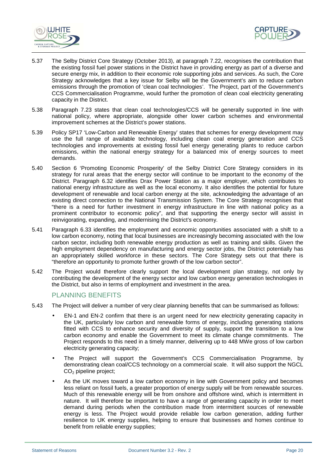



- 5.37 The Selby District Core Strategy (October 2013), at paragraph 7.22, recognises the contribution that the existing fossil fuel power stations in the District have in providing energy as part of a diverse and secure energy mix, in addition to their economic role supporting jobs and services. As such, the Core Strategy acknowledges that a key issue for Selby will be the Government's aim to reduce carbon emissions through the promotion of 'clean coal technologies'. The Project, part of the Government's CCS Commercialisation Programme, would further the promotion of clean coal electricity generating capacity in the District.
- 5.38 Paragraph 7.23 states that clean coal technologies/CCS will be generally supported in line with national policy, where appropriate, alongside other lower carbon schemes and environmental improvement schemes at the District's power stations.
- 5.39 Policy SP17 'Low-Carbon and Renewable Energy' states that schemes for energy development may use the full range of available technology, including clean coal energy generation and CCS technologies and improvements at existing fossil fuel energy generating plants to reduce carbon emissions, within the national energy strategy for a balanced mix of energy sources to meet demands.
- 5.40 Section 6 'Promoting Economic Prosperity' of the Selby District Core Strategy considers in its strategy for rural areas that the energy sector will continue to be important to the economy of the District. Paragraph 6.32 identifies Drax Power Station as a major employer, which contributes to national energy infrastructure as well as the local economy. It also identifies the potential for future development of renewable and local carbon energy at the site, acknowledging the advantage of an existing direct connection to the National Transmission System. The Core Strategy recognises that "there is a need for further investment in energy infrastructure in line with national policy as a prominent contributor to economic policy", and that supporting the energy sector will assist in reinvigorating, expanding, and modernising the District's economy.
- 5.41 Paragraph 6.33 identifies the employment and economic opportunities associated with a shift to a low carbon economy, noting that local businesses are increasingly becoming associated with the low carbon sector, including both renewable energy production as well as training and skills. Given the high employment dependency on manufacturing and energy sector jobs, the District potentially has an appropriately skilled workforce in these sectors. The Core Strategy sets out that there is "therefore an opportunity to promote further growth of the low carbon sector".
- 5.42 The Project would therefore clearly support the local development plan strategy, not only by contributing the development of the energy sector and low carbon energy generation technologies in the District, but also in terms of employment and investment in the area.

#### PLANNING BENEFITS

- 5.43 The Project will deliver a number of very clear planning benefits that can be summarised as follows:
	- EN-1 and EN-2 confirm that there is an urgent need for new electricity generating capacity in the UK, particularly low carbon and renewable forms of energy, including generating stations fitted with CCS to enhance security and diversity of supply, support the transition to a low carbon economy and enable the Government to meet its climate change commitments. The Project responds to this need in a timely manner, delivering up to 448 MWe gross of low carbon electricity generating capacity;
	- The Project will support the Government's CCS Commercialisation Programme, by demonstrating clean coal/CCS technology on a commercial scale. It will also support the NGCL CO2 pipeline project;
	- As the UK moves toward a low carbon economy in line with Government policy and becomes less reliant on fossil fuels, a greater proportion of energy supply will be from renewable sources. Much of this renewable energy will be from onshore and offshore wind, which is intermittent in nature. It will therefore be important to have a range of generating capacity in order to meet demand during periods when the contribution made from intermittent sources of renewable energy is less. The Project would provide reliable low carbon generation, adding further resilience to UK energy supplies, helping to ensure that businesses and homes continue to benefit from reliable energy supplies;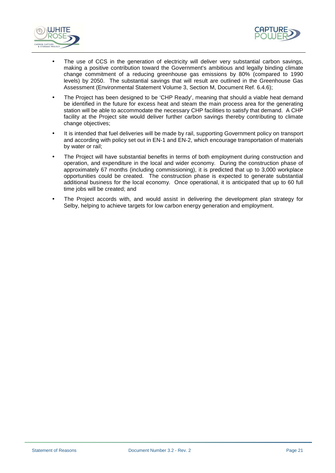



- The use of CCS in the generation of electricity will deliver very substantial carbon savings, making a positive contribution toward the Government's ambitious and legally binding climate change commitment of a reducing greenhouse gas emissions by 80% (compared to 1990 levels) by 2050. The substantial savings that will result are outlined in the Greenhouse Gas Assessment (Environmental Statement Volume 3, Section M, Document Ref. 6.4.6);
- The Project has been designed to be 'CHP Ready', meaning that should a viable heat demand be identified in the future for excess heat and steam the main process area for the generating station will be able to accommodate the necessary CHP facilities to satisfy that demand. A CHP facility at the Project site would deliver further carbon savings thereby contributing to climate change objectives;
- It is intended that fuel deliveries will be made by rail, supporting Government policy on transport and according with policy set out in EN-1 and EN-2, which encourage transportation of materials by water or rail;
- The Project will have substantial benefits in terms of both employment during construction and operation, and expenditure in the local and wider economy. During the construction phase of approximately 67 months (including commissioning), it is predicted that up to 3,000 workplace opportunities could be created. The construction phase is expected to generate substantial additional business for the local economy. Once operational, it is anticipated that up to 60 full time jobs will be created; and
- The Project accords with, and would assist in delivering the development plan strategy for Selby, helping to achieve targets for low carbon energy generation and employment.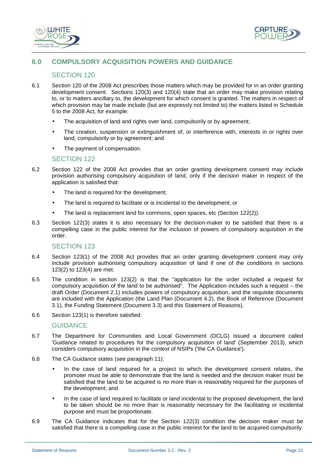



## **6.0 COMPULSORY ACQUISITION POWERS AND GUIDANCE**

## SECTION 120

- 6.1 Section 120 of the 2008 Act prescribes those matters which may be provided for in an order granting development consent. Sections 120(3) and 120(4) state that an order may make provision relating to, or to matters ancillary to, the development for which consent is granted. The matters in respect of which provision may be made include (but are expressly not limited to) the matters listed in Schedule 5 to the 2008 Act, for example:
	- The acquisition of land and rights over land, compulsorily or by agreement;
	- The creation, suspension or extinguishment of, or interference with, interests in or rights over land, compulsorily or by agreement; and
	- The payment of compensation.

#### SECTION 122

- 6.2 Section 122 of the 2008 Act provides that an order granting development consent may include provision authorising compulsory acquisition of land, only if the decision maker in respect of the application is satisfied that:
	- The land is required for the development;
	- The land is required to facilitate or is incidental to the development; or
	- The land is replacement land for commons, open spaces, etc (Section 122(2)).
- 6.3 Section 122(3) states it is also necessary for the decision-maker to be satisfied that there is a compelling case in the public interest for the inclusion of powers of compulsory acquisition in the order.

#### SECTION 123

- 6.4 Section 123(1) of the 2008 Act provides that an order granting development consent may only include provision authorising compulsory acquisition of land if one of the conditions in sections 123(2) to 123(4) are met.
- 6.5 The condition in section 123(2) is that the "application for the order included a request for compulsory acquisition of the land to be authorised". The Application includes such a request – the draft Order (Document 2.1) includes powers of compulsory acquisition, and the requisite documents are included with the Application (the Land Plan (Document 4.2), the Book of Reference (Document 3.1), the Funding Statement (Document 3.3) and this Statement of Reasons).
- 6.6 Section 123(1) is therefore satisfied.

#### **GUIDANCE**

- 6.7 The Department for Communities and Local Government (DCLG) issued a document called 'Guidance related to procedures for the compulsory acquisition of land' (September 2013), which considers compulsory acquisition in the context of NSIPs ('the CA Guidance').
- 6.8 The CA Guidance states (see paragraph 11):
	- In the case of land required for a project to which the development consent relates, the promoter must be able to demonstrate that the land is needed and the decision maker must be satisfied that the land to be acquired is no more than is reasonably required for the purposes of the development; and
	- In the case of land required to facilitate or land incidental to the proposed development, the land to be taken should be no more than is reasonably necessary for the facilitating or incidental purpose and must be proportionate.
- 6.9 The CA Guidance indicates that for the Section 122(3) condition the decision maker must be satisfied that there is a compelling case in the public interest for the land to be acquired compulsorily.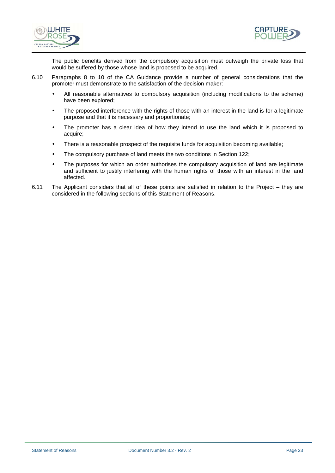



The public benefits derived from the compulsory acquisition must outweigh the private loss that would be suffered by those whose land is proposed to be acquired.

- 6.10 Paragraphs 8 to 10 of the CA Guidance provide a number of general considerations that the promoter must demonstrate to the satisfaction of the decision maker:
	- All reasonable alternatives to compulsory acquisition (including modifications to the scheme) have been explored;
	- The proposed interference with the rights of those with an interest in the land is for a legitimate purpose and that it is necessary and proportionate;
	- The promoter has a clear idea of how they intend to use the land which it is proposed to acquire;
	- There is a reasonable prospect of the requisite funds for acquisition becoming available;
	- The compulsory purchase of land meets the two conditions in Section 122;
	- The purposes for which an order authorises the compulsory acquisition of land are legitimate and sufficient to justify interfering with the human rights of those with an interest in the land affected.
- 6.11 The Applicant considers that all of these points are satisfied in relation to the Project they are considered in the following sections of this Statement of Reasons.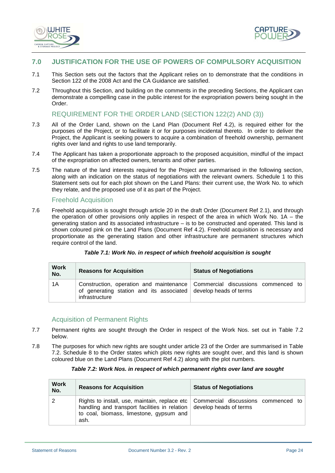



## **7.0 JUSTIFICATION FOR THE USE OF POWERS OF COMPULSORY ACQUISITION**

- 7.1 This Section sets out the factors that the Applicant relies on to demonstrate that the conditions in Section 122 of the 2008 Act and the CA Guidance are satisfied.
- 7.2 Throughout this Section, and building on the comments in the preceding Sections, the Applicant can demonstrate a compelling case in the public interest for the expropriation powers being sought in the Order.

## REQUIREMENT FOR THE ORDER LAND (SECTION 122(2) AND (3))

- 7.3 All of the Order Land, shown on the Land Plan (Document Ref 4.2), is required either for the purposes of the Project, or to facilitate it or for purposes incidental thereto. In order to deliver the Project, the Applicant is seeking powers to acquire a combination of freehold ownership, permanent rights over land and rights to use land temporarily.
- 7.4 The Applicant has taken a proportionate approach to the proposed acquisition, mindful of the impact of the expropriation on affected owners, tenants and other parties.
- 7.5 The nature of the land interests required for the Project are summarised in the following section, along with an indication on the status of negotiations with the relevant owners. Schedule 1 to this Statement sets out for each plot shown on the Land Plans: their current use, the Work No. to which they relate, and the proposed use of it as part of the Project.

#### Freehold Acquisition

7.6 Freehold acquisition is sought through article 20 in the draft Order (Document Ref 2.1), and through the operation of other provisions only applies in respect of the area in which Work No.  $1A -$  the generating station and its associated infrastructure – is to be constructed and operated. This land is shown coloured pink on the Land Plans (Document Ref 4.2). Freehold acquisition is necessary and proportionate as the generating station and other infrastructure are permanent structures which require control of the land.

| <b>Work</b><br>No. | <b>Reasons for Acquisition</b>                                                    | <b>Status of Negotiations</b>                                               |
|--------------------|-----------------------------------------------------------------------------------|-----------------------------------------------------------------------------|
| 1A                 | of generating station and its associated develop heads of terms<br>infrastructure | Construction, operation and maintenance Commercial discussions commenced to |

#### **Table 7.1: Work No. in respect of which freehold acquisition is sought**

## Acquisition of Permanent Rights

- 7.7 Permanent rights are sought through the Order in respect of the Work Nos. set out in Table 7.2 below.
- 7.8 The purposes for which new rights are sought under article 23 of the Order are summarised in Table 7.2. Schedule 8 to the Order states which plots new rights are sought over, and this land is shown coloured blue on the Land Plans (Document Ref 4.2) along with the plot numbers.

#### **Table 7.2: Work Nos. in respect of which permanent rights over land are sought**

| <b>Work</b><br>No. | <b>Reasons for Acquisition</b>                                                                                                  | <b>Status of Negotiations</b>                                                       |
|--------------------|---------------------------------------------------------------------------------------------------------------------------------|-------------------------------------------------------------------------------------|
|                    | handling and transport facilities in relation $\vert$ develop heads of terms<br>to coal, biomass, limestone, gypsum and<br>ash. | Rights to install, use, maintain, replace etc   Commercial discussions commenced to |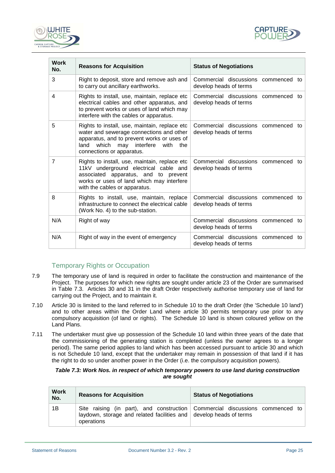



| <b>Work</b><br>No. | <b>Reasons for Acquisition</b>                                                                                                                                                                                  | <b>Status of Negotiations</b>                                       |
|--------------------|-----------------------------------------------------------------------------------------------------------------------------------------------------------------------------------------------------------------|---------------------------------------------------------------------|
| 3                  | Right to deposit, store and remove ash and<br>to carry out ancillary earthworks.                                                                                                                                | Commercial discussions<br>commenced to<br>develop heads of terms    |
| 4                  | Rights to install, use, maintain, replace etc<br>electrical cables and other apparatus, and<br>to prevent works or uses of land which may<br>interfere with the cables or apparatus.                            | Commercial discussions commenced to<br>develop heads of terms       |
| 5                  | Rights to install, use, maintain, replace etc<br>water and sewerage connections and other<br>apparatus, and to prevent works or uses of<br>land which may interfere<br>with<br>the<br>connections or apparatus. | Commercial discussions commenced to<br>develop heads of terms       |
| 7                  | Rights to install, use, maintain, replace etc<br>11kV underground electrical cable and<br>associated apparatus, and to prevent<br>works or uses of land which may interfere<br>with the cables or apparatus.    | Commercial discussions<br>commenced to<br>develop heads of terms    |
| 8                  | Rights to install, use, maintain, replace<br>infrastructure to connect the electrical cable<br>(Work No. 4) to the sub-station.                                                                                 | Commercial discussions<br>commenced to<br>develop heads of terms    |
| N/A                | Right of way                                                                                                                                                                                                    | Commercial discussions<br>commenced to<br>develop heads of terms    |
| N/A                | Right of way in the event of emergency                                                                                                                                                                          | Commercial discussions<br>commenced<br>to<br>develop heads of terms |

## Temporary Rights or Occupation

- 7.9 The temporary use of land is required in order to facilitate the construction and maintenance of the Project. The purposes for which new rights are sought under article 23 of the Order are summarised in Table 7.3. Articles 30 and 31 in the draft Order respectively authorise temporary use of land for carrying out the Project, and to maintain it.
- 7.10 Article 30 is limited to the land referred to in Schedule 10 to the draft Order (the 'Schedule 10 land') and to other areas within the Order Land where article 30 permits temporary use prior to any compulsory acquisition (of land or rights). The Schedule 10 land is shown coloured yellow on the Land Plans.
- 7.11 The undertaker must give up possession of the Schedule 10 land within three years of the date that the commissioning of the generating station is completed (unless the owner agrees to a longer period). The same period applies to land which has been accessed pursuant to article 30 and which is not Schedule 10 land, except that the undertaker may remain in possession of that land if it has the right to do so under another power in the Order (i.e. the compulsory acquisition powers).

#### **Table 7.3: Work Nos. in respect of which temporary powers to use land during construction are sought**

| <b>Work</b><br>No. | <b>Reasons for Acquisition</b>                                                           | <b>Status of Negotiations</b>                                                |
|--------------------|------------------------------------------------------------------------------------------|------------------------------------------------------------------------------|
| 1B                 | laydown, storage and related facilities and $\vert$ develop heads of terms<br>operations | Site raising (in part), and construction Commercial discussions commenced to |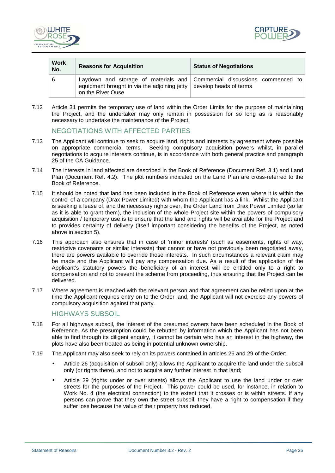



| <b>Work</b><br>No. | <b>Reasons for Acquisition</b>                                                                   | <b>Status of Negotiations</b>                                            |
|--------------------|--------------------------------------------------------------------------------------------------|--------------------------------------------------------------------------|
| 6                  | equipment brought in via the adjoining jetty $\vert$ develop heads of terms<br>on the River Ouse | Laydown and storage of materials and Commercial discussions commenced to |

7.12 Article 31 permits the temporary use of land within the Order Limits for the purpose of maintaining the Project, and the undertaker may only remain in possession for so long as is reasonably necessary to undertake the maintenance of the Project.

## NEGOTIATIONS WITH AFFECTED PARTIES

- 7.13 The Applicant will continue to seek to acquire land, rights and interests by agreement where possible on appropriate commercial terms. Seeking compulsory acquisition powers whilst, in parallel negotiations to acquire interests continue, is in accordance with both general practice and paragraph 25 of the CA Guidance.
- 7.14 The interests in land affected are described in the Book of Reference (Document Ref. 3.1) and Land Plan (Document Ref. 4.2). The plot numbers indicated on the Land Plan are cross-referred to the Book of Reference.
- 7.15 It should be noted that land has been included in the Book of Reference even where it is within the control of a company (Drax Power Limited) with whom the Applicant has a link. Whilst the Applicant is seeking a lease of, and the necessary rights over, the Order Land from Drax Power Limited (so far as it is able to grant them), the inclusion of the whole Project site within the powers of compulsory acquisition / temporary use is to ensure that the land and rights will be available for the Project and to provides certainty of delivery (itself important considering the benefits of the Project, as noted above in section 5).
- 7.16 This approach also ensures that in case of 'minor interests' (such as easements, rights of way, restrictive covenants or similar interests) that cannot or have not previously been negotiated away, there are powers available to override those interests. In such circumstances a relevant claim may be made and the Applicant will pay any compensation due. As a result of the application of the Applicant's statutory powers the beneficiary of an interest will be entitled only to a right to compensation and not to prevent the scheme from proceeding, thus ensuring that the Project can be delivered.
- 7.17 Where agreement is reached with the relevant person and that agreement can be relied upon at the time the Applicant requires entry on to the Order land, the Applicant will not exercise any powers of compulsory acquisition against that party.

## HIGHWAYS SUBSOIL

- 7.18 For all highways subsoil, the interest of the presumed owners have been scheduled in the Book of Reference. As the presumption could be rebutted by information which the Applicant has not been able to find through its diligent enquiry, it cannot be certain who has an interest in the highway, the plots have also been treated as being in potential unknown ownership.
- 7.19 The Applicant may also seek to rely on its powers contained in articles 26 and 29 of the Order:
	- Article 26 (acquisition of subsoil only) allows the Applicant to acquire the land under the subsoil only (or rights there), and not to acquire any further interest in that land;
	- Article 29 (rights under or over streets) allows the Applicant to use the land under or over streets for the purposes of the Project. This power could be used, for instance, in relation to Work No. 4 (the electrical connection) to the extent that it crosses or is within streets. If any persons can prove that they own the street subsoil, they have a right to compensation if they suffer loss because the value of their property has reduced.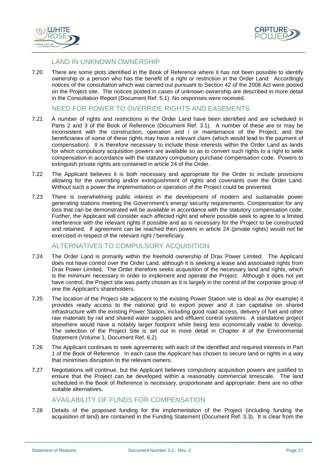



## LAND IN UNKNOWN OWNERSHIP

7.20 There are some plots identified in the Book of Reference where it has not been possible to identify ownership or a person who has the benefit of a right or restriction in the Order Land. Accordingly notices of the consultation which was carried out pursuant to Section 42 of the 2008 Act were posted on the Project site. The notices posted in cases of unknown ownership are described in more detail in the Consultation Report (Document Ref. 5.1). No responses were received.

## NEED FOR POWER TO OVERRIDE RIGHTS AND EASEMENTS

- 7.21 A number of rights and restrictions in the Order Land have been identified and are scheduled in Parts 2 and 3 of the Book of Reference (Document Ref. 3.1). A number of these are or may be inconsistent with the construction, operation and / or maintenance of the Project, and the beneficiaries of some of these rights may have a relevant claim (which would lead to the payment of compensation). It is therefore necessary to include those interests within the Order Land as lands for which compulsory acquisition powers are available so as to convert such rights to a right to seek compensation in accordance with the statutory compulsory purchase compensation code. Powers to extinguish private rights are contained in article 24 of the Order.
- 7.22 The Applicant believes it is both necessary and appropriate for the Order to include provisions allowing for the overriding and/or extinguishment of rights and covenants over the Order Land. Without such a power the implementation or operation of the Project could be prevented.
- 7.23 There is overwhelming public interest in the development of modern and sustainable power generating stations meeting the Government's energy security requirements. Compensation for any loss that can be demonstrated will be available in accordance with the statutory compensation code. Further, the Applicant will consider each affected right and where possible seek to agree to a limited interference with the relevant rights if possible and as is necessary for the Project to be constructed and retained. If agreement can be reached then powers in article 24 (private rights) would not be exercised in respect of the relevant right / beneficiary.

## ALTERNATIVES TO COMPULSORY ACQUISITION

- 7.24 The Order Land is primarily within the freehold ownership of Drax Power Limited. The Applicant does not have control over the Order Land, although it is seeking a lease and associated rights from Drax Power Limited. The Order therefore seeks acquisition of the necessary land and rights, which is the minimum necessary in order to implement and operate the Project. Although it does not yet have control, the Project site was partly chosen as it is largely in the control of the corporate group of one the Applicant's shareholders.
- 7.25 The location of the Project site adjacent to the existing Power Station site is ideal as (for example) it provides ready access to the national grid to export power and it can capitalise on shared infrastructure with the existing Power Station, including good road access, delivery of fuel and other raw materials by rail and shared water supplies and effluent control systems. A standalone project elsewhere would have a notably larger footprint while being less economically viable to develop. The selection of the Project Site is set out in more detail in Chapter 4 of the Environmental Statement (Volume 1, Document Ref. 6.2).
- 7.26 The Applicant continues to seek agreements with each of the identified and required interests in Part 1 of the Book of Reference. In each case the Applicant has chosen to secure land or rights in a way that minimises disruption to the relevant owners.
- 7.27 Negotiations will continue, but the Applicant believes compulsory acquisition powers are justified to ensure that the Project can be developed within a reasonably commercial timescale. The land scheduled in the Book of Reference is necessary, proportionate and appropriate; there are no other suitable alternatives.

## AVAILABILITY OF FUNDS FOR COMPENSATION

7.28 Details of the proposed funding for the implementation of the Project (including funding the acquisition of land) are contained in the Funding Statement (Document Ref. 3.3). It is clear from the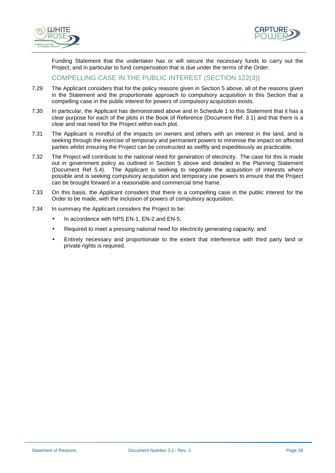



Funding Statement that the undertaker has or will secure the necessary funds to carry out the Project, and in particular to fund compensation that is due under the terms of the Order.

## COMPELLING CASE IN THE PUBLIC INTEREST (SECTION 122(3))

- 7.29 The Applicant considers that for the policy reasons given in Section 5 above, all of the reasons given in the Statement and the proportionate approach to compulsory acquisition in this Section that a compelling case in the public interest for powers of compulsory acquisition exists.
- 7.30 In particular, the Applicant has demonstrated above and in Schedule 1 to this Statement that it has a clear purpose for each of the plots in the Book of Reference (Document Ref. 3.1) and that there is a clear and real need for the Project within each plot.
- 7.31 The Applicant is mindful of the impacts on owners and others with an interest in the land, and is seeking through the exercise of temporary and permanent powers to minimise the impact on affected parties whilst ensuring the Project can be constructed as swiftly and expeditiously as practicable.
- 7.32 The Project will contribute to the national need for generation of electricity. The case for this is made out in government policy as outlined in Section 5 above and detailed in the Planning Statement (Document Ref 5.4). The Applicant is seeking to negotiate the acquisition of interests where possible and is seeking compulsory acquisition and temporary use powers to ensure that the Project can be brought forward in a reasonable and commercial time frame.
- 7.33 On this basis, the Applicant considers that there is a compelling case in the public interest for the Order to be made, with the inclusion of powers of compulsory acquisition.
- 7.34 In summary the Applicant considers the Project to be:
	- In accordance with NPS EN-1, EN-2 and EN-5:
	- Required to meet a pressing national need for electricity generating capacity; and
	- Entirely necessary and proportionate to the extent that interference with third party land or private rights is required.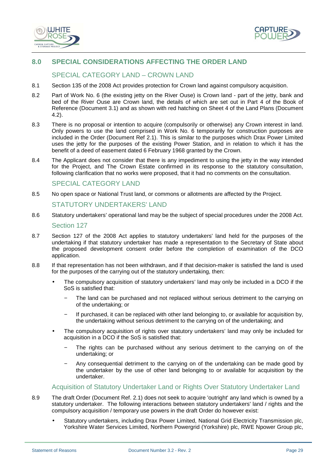



## **8.0 SPECIAL CONSIDERATIONS AFFECTING THE ORDER LAND**

## SPECIAL CATEGORY LAND – CROWN LAND

- 8.1 Section 135 of the 2008 Act provides protection for Crown land against compulsory acquisition.
- 8.2 Part of Work No. 6 (the existing jetty on the River Ouse) is Crown land part of the jetty, bank and bed of the River Ouse are Crown land, the details of which are set out in Part 4 of the Book of Reference (Document 3.1) and as shown with red hatching on Sheet 4 of the Land Plans (Document 4.2).
- 8.3 There is no proposal or intention to acquire (compulsorily or otherwise) any Crown interest in land. Only powers to use the land comprised in Work No. 6 temporarily for construction purposes are included in the Order (Document Ref 2.1). This is similar to the purposes which Drax Power Limited uses the jetty for the purposes of the existing Power Station, and in relation to which it has the benefit of a deed of easement dated 6 February 1968 granted by the Crown.
- 8.4 The Applicant does not consider that there is any impediment to using the jetty in the way intended for the Project, and The Crown Estate confirmed in its response to the statutory consultation, following clarification that no works were proposed, that it had no comments on the consultation.

#### SPECIAL CATEGORY LAND

8.5 No open space or National Trust land, or commons or allotments are affected by the Project.

#### STATUTORY UNDERTAKERS' LAND

- 8.6 Statutory undertakers' operational land may be the subject of special procedures under the 2008 Act. Section 127
- 8.7 Section 127 of the 2008 Act applies to statutory undertakers' land held for the purposes of the undertaking if that statutory undertaker has made a representation to the Secretary of State about the proposed development consent order before the completion of examination of the DCO application.
- 8.8 If that representation has not been withdrawn, and if that decision-maker is satisfied the land is used for the purposes of the carrying out of the statutory undertaking, then:
	- The compulsory acquisition of statutory undertakers' land may only be included in a DCO if the SoS is satisfied that:
		- The land can be purchased and not replaced without serious detriment to the carrying on of the undertaking; or
		- − If purchased, it can be replaced with other land belonging to, or available for acquisition by, the undertaking without serious detriment to the carrying on of the undertaking; and
	- The compulsory acquisition of rights over statutory undertakers' land may only be included for acquisition in a DCO if the SoS is satisfied that:
		- The rights can be purchased without any serious detriment to the carrying on of the undertaking; or
		- Any consequential detriment to the carrying on of the undertaking can be made good by the undertaker by the use of other land belonging to or available for acquisition by the undertaker.

#### Acquisition of Statutory Undertaker Land or Rights Over Statutory Undertaker Land

- 8.9 The draft Order (Document Ref. 2.1) does not seek to acquire 'outright' any land which is owned by a statutory undertaker. The following interactions between statutory undertakers' land / rights and the compulsory acquisition / temporary use powers in the draft Order do however exist:
	- Statutory undertakers, including Drax Power Limited, National Grid Electricity Transmission plc, Yorkshire Water Services Limited, Northern Powergrid (Yorkshire) plc, RWE Npower Group plc,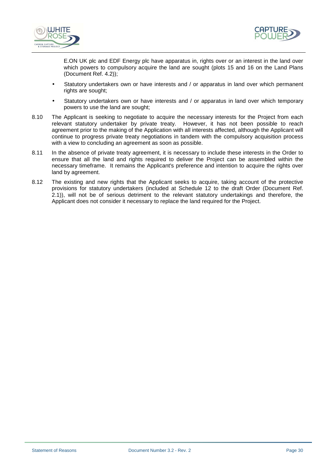



E.ON UK plc and EDF Energy plc have apparatus in, rights over or an interest in the land over which powers to compulsory acquire the land are sought (plots 15 and 16 on the Land Plans (Document Ref. 4.2));

- Statutory undertakers own or have interests and / or apparatus in land over which permanent rights are sought;
- Statutory undertakers own or have interests and / or apparatus in land over which temporary powers to use the land are sought;
- 8.10 The Applicant is seeking to negotiate to acquire the necessary interests for the Project from each relevant statutory undertaker by private treaty. However, it has not been possible to reach agreement prior to the making of the Application with all interests affected, although the Applicant will continue to progress private treaty negotiations in tandem with the compulsory acquisition process with a view to concluding an agreement as soon as possible.
- 8.11 In the absence of private treaty agreement, it is necessary to include these interests in the Order to ensure that all the land and rights required to deliver the Project can be assembled within the necessary timeframe. It remains the Applicant's preference and intention to acquire the rights over land by agreement.
- 8.12 The existing and new rights that the Applicant seeks to acquire, taking account of the protective provisions for statutory undertakers (included at Schedule 12 to the draft Order (Document Ref. 2.1)), will not be of serious detriment to the relevant statutory undertakings and therefore, the Applicant does not consider it necessary to replace the land required for the Project.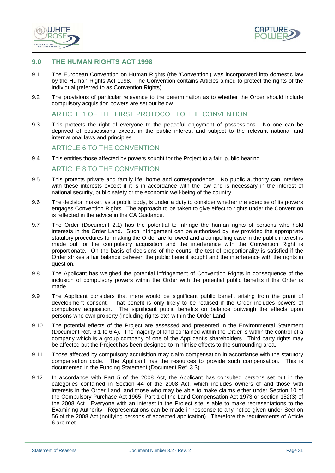



#### **9.0 THE HUMAN RIGHTS ACT 1998**

- 9.1 The European Convention on Human Rights (the 'Convention') was incorporated into domestic law by the Human Rights Act 1998. The Convention contains Articles aimed to protect the rights of the individual (referred to as Convention Rights).
- 9.2 The provisions of particular relevance to the determination as to whether the Order should include compulsory acquisition powers are set out below.

#### ARTICLE 1 OF THE FIRST PROTOCOL TO THE CONVENTION

9.3 This protects the right of everyone to the peaceful enjoyment of possessions. No one can be deprived of possessions except in the public interest and subject to the relevant national and international laws and principles.

#### ARTICLE 6 TO THE CONVENTION

9.4 This entitles those affected by powers sought for the Project to a fair, public hearing.

#### ARTICLE 8 TO THE CONVENTION

- 9.5 This protects private and family life, home and correspondence. No public authority can interfere with these interests except if it is in accordance with the law and is necessary in the interest of national security, public safety or the economic well-being of the country.
- 9.6 The decision maker, as a public body, is under a duty to consider whether the exercise of its powers engages Convention Rights. The approach to be taken to give effect to rights under the Convention is reflected in the advice in the CA Guidance.
- 9.7 The Order (Document 2.1) has the potential to infringe the human rights of persons who hold interests in the Order Land. Such infringement can be authorised by law provided the appropriate statutory procedures for making the Order are followed and a compelling case in the public interest is made out for the compulsory acquisition and the interference with the Convention Right is proportionate. On the basis of decisions of the courts, the test of proportionality is satisfied if the Order strikes a fair balance between the public benefit sought and the interference with the rights in question.
- 9.8 The Applicant has weighed the potential infringement of Convention Rights in consequence of the inclusion of compulsory powers within the Order with the potential public benefits if the Order is made.
- 9.9 The Applicant considers that there would be significant public benefit arising from the grant of development consent. That benefit is only likely to be realised if the Order includes powers of compulsory acquisition. The significant public benefits on balance outweigh the effects upon persons who own property (including rights etc) within the Order Land.
- 9.10 The potential effects of the Project are assessed and presented in the Environmental Statement (Document Ref. 6.1 to 6.4). The majority of land contained within the Order is within the control of a company which is a group company of one of the Applicant's shareholders. Third party rights may be affected but the Project has been designed to minimise effects to the surrounding area.
- 9.11 Those affected by compulsory acquisition may claim compensation in accordance with the statutory compensation code. The Applicant has the resources to provide such compensation. This is documented in the Funding Statement (Document Ref. 3.3).
- 9.12 In accordance with Part 5 of the 2008 Act, the Applicant has consulted persons set out in the categories contained in Section 44 of the 2008 Act, which includes owners of and those with interests in the Order Land, and those who may be able to make claims either under Section 10 of the Compulsory Purchase Act 1965, Part 1 of the Land Compensation Act 1973 or section 152(3) of the 2008 Act. Everyone with an interest in the Project site is able to make representations to the Examining Authority. Representations can be made in response to any notice given under Section 56 of the 2008 Act (notifying persons of accepted application). Therefore the requirements of Article 6 are met.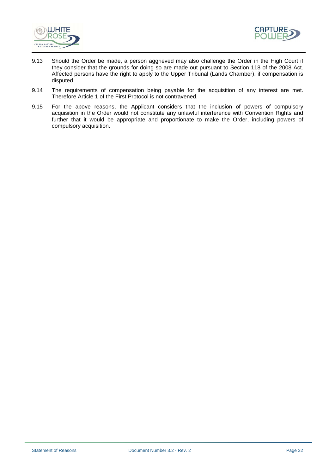



- 9.13 Should the Order be made, a person aggrieved may also challenge the Order in the High Court if they consider that the grounds for doing so are made out pursuant to Section 118 of the 2008 Act. Affected persons have the right to apply to the Upper Tribunal (Lands Chamber), if compensation is disputed.
- 9.14 The requirements of compensation being payable for the acquisition of any interest are met. Therefore Article 1 of the First Protocol is not contravened.
- 9.15 For the above reasons, the Applicant considers that the inclusion of powers of compulsory acquisition in the Order would not constitute any unlawful interference with Convention Rights and further that it would be appropriate and proportionate to make the Order, including powers of compulsory acquisition.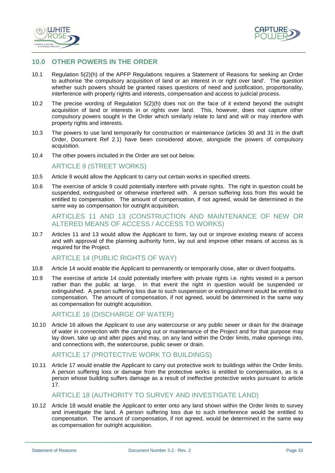



## **10.0 OTHER POWERS IN THE ORDER**

- 10.1 Regulation 5(2)(h) of the APFP Regulations requires a Statement of Reasons for seeking an Order to authorise 'the compulsory acquisition of land or an interest in or right over land'. The question whether such powers should be granted raises questions of need and justification, proportionality, interference with property rights and interests, compensation and access to judicial process.
- 10.2 The precise wording of Regulation 5(2)(h) does not on the face of it extend beyond the outright acquisition of land or interests in or rights over land. This, however, does not capture other compulsory powers sought in the Order which similarly relate to land and will or may interfere with property rights and interests.
- 10.3 The powers to use land temporarily for construction or maintenance (articles 30 and 31 in the draft Order, Document Ref 2.1) have been considered above, alongside the powers of compulsory acquisition.
- 10.4 The other powers included in the Order are set out below.

#### ARTICLE 9 (STREET WORKS)

- 10.5 Article 9 would allow the Applicant to carry out certain works in specified streets.
- 10.6 The exercise of article 9 could potentially interfere with private rights. The right in question could be suspended, extinguished or otherwise interfered with. A person suffering loss from this would be entitled to compensation. The amount of compensation, if not agreed, would be determined in the same way as compensation for outright acquisition.

#### ARTICLES 11 AND 13 (CONSTRUCTION AND MAINTENANCE OF NEW OR ALTERED MEANS OF ACCESS / ACCESS TO WORKS)

10.7 Articles 11 and 13 would allow the Applicant to form, lay out or improve existing means of access and with approval of the planning authority form, lay out and improve other means of access as is required for the Project.

#### ARTICLE 14 (PUBLIC RIGHTS OF WAY)

- 10.8 Article 14 would enable the Applicant to permanently or temporarily close, alter or divert footpaths.
- 10.9 The exercise of article 14 could potentially interfere with private rights i.e. rights vested in a person rather than the public at large. In that event the right in question would be suspended or extinguished. A person suffering loss due to such suspension or extinguishment would be entitled to compensation. The amount of compensation, if not agreed, would be determined in the same way as compensation for outright acquisition.

#### ARTICLE 16 (DISCHARGE OF WATER)

10.10 Article 16 allows the Applicant to use any watercourse or any public sewer or drain for the drainage of water in connection with the carrying out or maintenance of the Project and for that purpose may lay down, take up and alter pipes and may, on any land within the Order limits, make openings into, and connections with, the watercourse, public sewer or drain.

## ARTICLE 17 (PROTECTIVE WORK TO BUILDINGS)

10.11 Article 17 would enable the Applicant to carry out protective work to buildings within the Order limits. A person suffering loss or damage from the protective works is entitled to compensation, as is a person whose building suffers damage as a result of ineffective protective works pursuant to article 17.

## ARTICLE 18 (AUTHORITY TO SURVEY AND INVESTIGATE LAND)

10.12 Article 18 would enable the Applicant to enter onto any land shown within the Order limits to survey and investigate the land. A person suffering loss due to such interference would be entitled to compensation. The amount of compensation, if not agreed, would be determined in the same way as compensation for outright acquisition.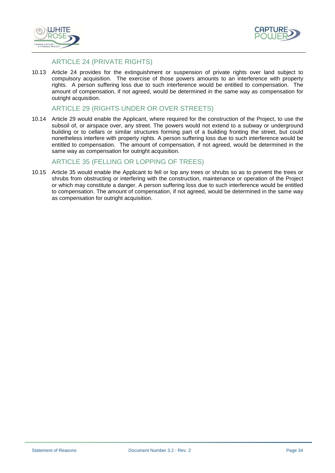



## ARTICLE 24 (PRIVATE RIGHTS)

10.13 Article 24 provides for the extinguishment or suspension of private rights over land subject to compulsory acquisition. The exercise of those powers amounts to an interference with property rights. A person suffering loss due to such interference would be entitled to compensation. The amount of compensation, if not agreed, would be determined in the same way as compensation for outright acquisition.

## ARTICLE 29 (RIGHTS UNDER OR OVER STREETS)

10.14 Article 29 would enable the Applicant, where required for the construction of the Project, to use the subsoil of, or airspace over, any street. The powers would not extend to a subway or underground building or to cellars or similar structures forming part of a building fronting the street, but could nonetheless interfere with property rights. A person suffering loss due to such interference would be entitled to compensation. The amount of compensation, if not agreed, would be determined in the same way as compensation for outright acquisition.

## ARTICLE 35 (FELLING OR LOPPING OF TREES)

10.15 Article 35 would enable the Applicant to fell or lop any trees or shrubs so as to prevent the trees or shrubs from obstructing or interfering with the construction, maintenance or operation of the Project or which may constitute a danger. A person suffering loss due to such interference would be entitled to compensation. The amount of compensation, if not agreed, would be determined in the same way as compensation for outright acquisition.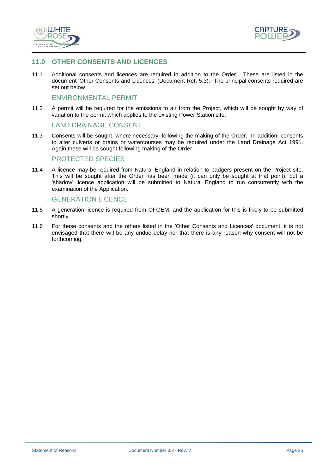



## **11.0 OTHER CONSENTS AND LICENCES**

11.1 Additional consents and licences are required in addition to the Order. These are listed in the document 'Other Consents and Licences' (Document Ref. 5.3). The principal consents required are set out below.

#### ENVIRONMENTAL PERMIT

11.2 A permit will be required for the emissions to air from the Project, which will be sought by way of variation to the permit which applies to the existing Power Station site.

#### LAND DRAINAGE CONSENT

11.3 Consents will be sought, where necessary, following the making of the Order. In addition, consents to alter culverts or drains or watercourses may be required under the Land Drainage Act 1991. Again these will be sought following making of the Order.

#### PROTECTED SPECIES

11.4 A licence may be required from Natural England in relation to badgers present on the Project site. This will be sought after the Order has been made (it can only be sought at that point), but a 'shadow' licence application will be submitted to Natural England to run concurrently with the examination of the Application.

#### GENERATION LICENCE

- 11.5 A generation licence is required from OFGEM, and the application for this is likely to be submitted shortly.
- 11.6 For these consents and the others listed in the 'Other Consents and Licences' document, it is not envisaged that there will be any undue delay nor that there is any reason why consent will not be forthcoming.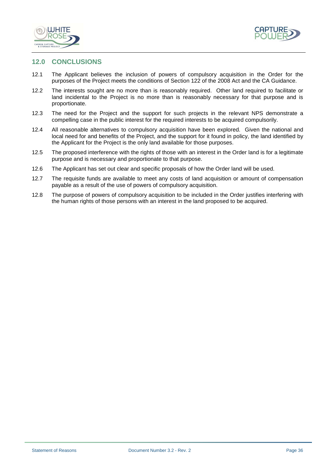



## **12.0 CONCLUSIONS**

- 12.1 The Applicant believes the inclusion of powers of compulsory acquisition in the Order for the purposes of the Project meets the conditions of Section 122 of the 2008 Act and the CA Guidance.
- 12.2 The interests sought are no more than is reasonably required. Other land required to facilitate or land incidental to the Project is no more than is reasonably necessary for that purpose and is proportionate.
- 12.3 The need for the Project and the support for such projects in the relevant NPS demonstrate a compelling case in the public interest for the required interests to be acquired compulsorily.
- 12.4 All reasonable alternatives to compulsory acquisition have been explored. Given the national and local need for and benefits of the Project, and the support for it found in policy, the land identified by the Applicant for the Project is the only land available for those purposes.
- 12.5 The proposed interference with the rights of those with an interest in the Order land is for a legitimate purpose and is necessary and proportionate to that purpose.
- 12.6 The Applicant has set out clear and specific proposals of how the Order land will be used.
- 12.7 The requisite funds are available to meet any costs of land acquisition or amount of compensation payable as a result of the use of powers of compulsory acquisition.
- 12.8 The purpose of powers of compulsory acquisition to be included in the Order justifies interfering with the human rights of those persons with an interest in the land proposed to be acquired.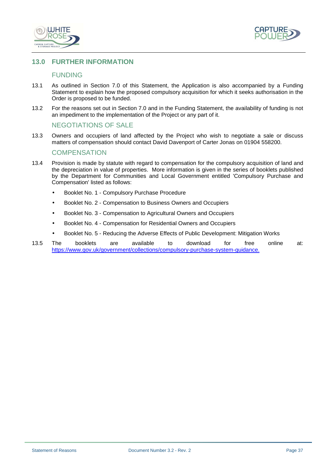



## **13.0 FURTHER INFORMATION**

#### FUNDING

- 13.1 As outlined in Section 7.0 of this Statement, the Application is also accompanied by a Funding Statement to explain how the proposed compulsory acquisition for which it seeks authorisation in the Order is proposed to be funded.
- 13.2 For the reasons set out in Section 7.0 and in the Funding Statement, the availability of funding is not an impediment to the implementation of the Project or any part of it.

#### NEGOTIATIONS OF SALE

13.3 Owners and occupiers of land affected by the Project who wish to negotiate a sale or discuss matters of compensation should contact David Davenport of Carter Jonas on 01904 558200.

#### **COMPENSATION**

- 13.4 Provision is made by statute with regard to compensation for the compulsory acquisition of land and the depreciation in value of properties. More information is given in the series of booklets published by the Department for Communities and Local Government entitled 'Compulsory Purchase and Compensation' listed as follows:
	- Booklet No. 1 Compulsory Purchase Procedure
	- Booklet No. 2 Compensation to Business Owners and Occupiers
	- Booklet No. 3 Compensation to Agricultural Owners and Occupiers
	- Booklet No. 4 Compensation for Residential Owners and Occupiers
	- Booklet No. 5 Reducing the Adverse Effects of Public Development: Mitigation Works
- 13.5 The booklets are available to download for free online at: https://www.gov.uk/government/collections/compulsory-purchase-system-guidance.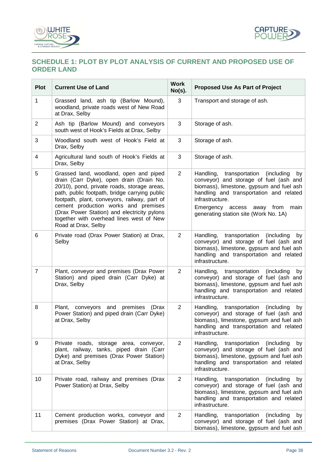



## **SCHEDULE 1: PLOT BY PLOT ANALYSIS OF CURRENT AND PROPOSED USE OF ORDER LAND**

| <b>Plot</b>    | <b>Current Use of Land</b>                                                                                                                                                                                                                                                                                                                                                                   | <b>Work</b><br>$No(s)$ . | <b>Proposed Use As Part of Project</b>                                                                                                                                                                                                                                              |
|----------------|----------------------------------------------------------------------------------------------------------------------------------------------------------------------------------------------------------------------------------------------------------------------------------------------------------------------------------------------------------------------------------------------|--------------------------|-------------------------------------------------------------------------------------------------------------------------------------------------------------------------------------------------------------------------------------------------------------------------------------|
| $\mathbf{1}$   | Grassed land, ash tip (Barlow Mound),<br>woodland, private roads west of New Road<br>at Drax, Selby                                                                                                                                                                                                                                                                                          | 3                        | Transport and storage of ash.                                                                                                                                                                                                                                                       |
| $\overline{2}$ | Ash tip (Barlow Mound) and conveyors<br>south west of Hook's Fields at Drax, Selby                                                                                                                                                                                                                                                                                                           | 3                        | Storage of ash.                                                                                                                                                                                                                                                                     |
| 3              | Woodland south west of Hook's Field at<br>Drax, Selby                                                                                                                                                                                                                                                                                                                                        | 3                        | Storage of ash.                                                                                                                                                                                                                                                                     |
| 4              | Agricultural land south of Hook's Fields at<br>Drax, Selby                                                                                                                                                                                                                                                                                                                                   | 3                        | Storage of ash.                                                                                                                                                                                                                                                                     |
| 5              | Grassed land, woodland, open and piped<br>drain (Carr Dyke), open drain (Drain No.<br>20/10), pond, private roads, storage areas,<br>path, public footpath, bridge carrying public<br>footpath, plant, conveyors, railway, part of<br>cement production works and premises<br>(Drax Power Station) and electricity pylons<br>together with overhead lines west of New<br>Road at Drax, Selby | $\overline{2}$           | Handling,<br>transportation<br>(including)<br>by<br>conveyor) and storage of fuel (ash and<br>biomass), limestone, gypsum and fuel ash<br>handling and transportation and related<br>infrastructure.<br>Emergency access away from<br>main<br>generating station site (Work No. 1A) |
| 6              | Private road (Drax Power Station) at Drax,<br>Selby                                                                                                                                                                                                                                                                                                                                          | $\overline{2}$           | Handling,<br>transportation<br>(including)<br>by<br>conveyor) and storage of fuel (ash and<br>biomass), limestone, gypsum and fuel ash<br>handling and transportation and related<br>infrastructure.                                                                                |
| $\overline{7}$ | Plant, conveyor and premises (Drax Power<br>Station) and piped drain (Carr Dyke) at<br>Drax, Selby                                                                                                                                                                                                                                                                                           | $\overline{2}$           | Handling,<br>transportation<br>(including)<br>by<br>conveyor) and storage of fuel (ash and<br>biomass), limestone, gypsum and fuel ash<br>handling and transportation and related<br>infrastructure.                                                                                |
| 8              | Plant, conveyors and premises (Drax<br>Power Station) and piped drain (Carr Dyke)<br>at Drax, Selby                                                                                                                                                                                                                                                                                          | $\overline{2}$           | Handling, transportation<br>(including)<br>by<br>conveyor) and storage of fuel (ash and<br>biomass), limestone, gypsum and fuel ash<br>handling and transportation and related<br>infrastructure.                                                                                   |
| 9              | Private roads, storage area, conveyor,<br>plant, railway, tanks, piped drain (Carr<br>Dyke) and premises (Drax Power Station)<br>at Drax, Selby                                                                                                                                                                                                                                              | $\overline{2}$           | Handling,<br>transportation<br>(including)<br>by<br>conveyor) and storage of fuel (ash and<br>biomass), limestone, gypsum and fuel ash<br>handling and transportation and related<br>infrastructure.                                                                                |
| 10             | Private road, railway and premises (Drax<br>Power Station) at Drax, Selby                                                                                                                                                                                                                                                                                                                    | 2                        | Handling, transportation<br>(including)<br>by<br>conveyor) and storage of fuel (ash and<br>biomass), limestone, gypsum and fuel ash<br>handling and transportation and related<br>infrastructure.                                                                                   |
| 11             | Cement production works, conveyor and<br>premises (Drax Power Station) at Drax,                                                                                                                                                                                                                                                                                                              | 2                        | Handling,<br>transportation<br>(including)<br>by<br>conveyor) and storage of fuel (ash and<br>biomass), limestone, gypsum and fuel ash                                                                                                                                              |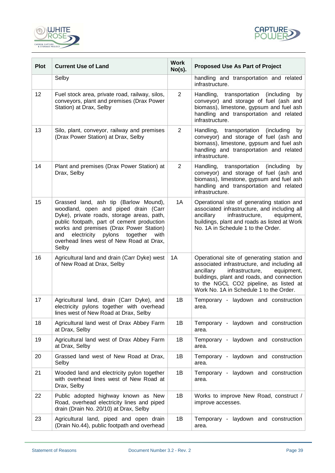



| <b>Plot</b> | <b>Current Use of Land</b>                                                                                                                                                                                                                                                                                                 | <b>Work</b><br>$No(s)$ . | <b>Proposed Use As Part of Project</b>                                                                                                                                                                                                                                      |
|-------------|----------------------------------------------------------------------------------------------------------------------------------------------------------------------------------------------------------------------------------------------------------------------------------------------------------------------------|--------------------------|-----------------------------------------------------------------------------------------------------------------------------------------------------------------------------------------------------------------------------------------------------------------------------|
|             | Selby                                                                                                                                                                                                                                                                                                                      |                          | handling and transportation and related<br>infrastructure.                                                                                                                                                                                                                  |
| 12          | Fuel stock area, private road, railway, silos,<br>conveyors, plant and premises (Drax Power<br>Station) at Drax, Selby                                                                                                                                                                                                     | $\overline{2}$           | Handling,<br>transportation<br>(including)<br>by<br>conveyor) and storage of fuel (ash and<br>biomass), limestone, gypsum and fuel ash<br>handling and transportation and related<br>infrastructure.                                                                        |
| 13          | Silo, plant, conveyor, railway and premises<br>(Drax Power Station) at Drax, Selby                                                                                                                                                                                                                                         | $\overline{2}$           | Handling, transportation<br>(including<br>by<br>conveyor) and storage of fuel (ash and<br>biomass), limestone, gypsum and fuel ash<br>handling and transportation and related<br>infrastructure.                                                                            |
| 14          | Plant and premises (Drax Power Station) at<br>Drax, Selby                                                                                                                                                                                                                                                                  | $\overline{2}$           | Handling, transportation<br>(including)<br>by<br>conveyor) and storage of fuel (ash and<br>biomass), limestone, gypsum and fuel ash<br>handling and transportation and related<br>infrastructure.                                                                           |
| 15          | Grassed land, ash tip (Barlow Mound),<br>woodland, open and piped drain (Carr<br>Dyke), private roads, storage areas, path,<br>public footpath, part of cement production<br>works and premises (Drax Power Station)<br>electricity pylons<br>together<br>with<br>and<br>overhead lines west of New Road at Drax,<br>Selby | 1A                       | Operational site of generating station and<br>associated infrastructure, and including all<br>infrastructure,<br>ancillary<br>equipment,<br>buildings, plant and roads as listed at Work<br>No. 1A in Schedule 1 to the Order.                                              |
| 16          | Agricultural land and drain (Carr Dyke) west<br>of New Road at Drax, Selby                                                                                                                                                                                                                                                 | 1A                       | Operational site of generating station and<br>associated infrastructure, and including all<br>ancillary<br>infrastructure,<br>equipment,<br>buildings, plant and roads, and connection<br>to the NGCL CO2 pipeline, as listed at<br>Work No. 1A in Schedule 1 to the Order. |
| 17          | Agricultural land, drain (Carr Dyke), and<br>electricity pylons together with overhead<br>lines west of New Road at Drax, Selby                                                                                                                                                                                            | 1B                       | Temporary - laydown and construction<br>area.                                                                                                                                                                                                                               |
| 18          | Agricultural land west of Drax Abbey Farm<br>at Drax, Selby                                                                                                                                                                                                                                                                | 1B                       | Temporary - laydown and construction<br>area.                                                                                                                                                                                                                               |
| 19          | Agricultural land west of Drax Abbey Farm<br>at Drax, Selby                                                                                                                                                                                                                                                                | 1B                       | Temporary - laydown and construction<br>area.                                                                                                                                                                                                                               |
| 20          | Grassed land west of New Road at Drax,<br>Selby                                                                                                                                                                                                                                                                            | 1B                       | Temporary - laydown and construction<br>area.                                                                                                                                                                                                                               |
| 21          | Wooded land and electricity pylon together<br>with overhead lines west of New Road at<br>Drax, Selby                                                                                                                                                                                                                       | 1B                       | Temporary - laydown and construction<br>area.                                                                                                                                                                                                                               |
| 22          | Public adopted highway known as New<br>Road, overhead electricity lines and piped<br>drain (Drain No. 20/10) at Drax, Selby                                                                                                                                                                                                | 1B                       | Works to improve New Road, construct /<br>improve accesses.                                                                                                                                                                                                                 |
| 23          | Agricultural land, piped and open drain<br>(Drain No.44), public footpath and overhead                                                                                                                                                                                                                                     | 1B                       | Temporary - laydown and construction<br>area.                                                                                                                                                                                                                               |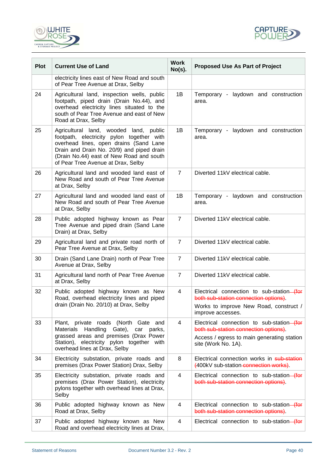



| <b>Plot</b> | <b>Current Use of Land</b>                                                                                                                                                                                                                                   | <b>Work</b><br>$No(s)$ . | <b>Proposed Use As Part of Project</b>                                                                                                                  |
|-------------|--------------------------------------------------------------------------------------------------------------------------------------------------------------------------------------------------------------------------------------------------------------|--------------------------|---------------------------------------------------------------------------------------------------------------------------------------------------------|
|             | electricity lines east of New Road and south<br>of Pear Tree Avenue at Drax, Selby                                                                                                                                                                           |                          |                                                                                                                                                         |
| 24          | Agricultural land, inspection wells, public<br>footpath, piped drain (Drain No.44), and<br>overhead electricity lines situated to the<br>south of Pear Tree Avenue and east of New<br>Road at Drax, Selby                                                    | 1B                       | Temporary - laydown and construction<br>area.                                                                                                           |
| 25          | Agricultural land, wooded land, public<br>footpath, electricity pylon together with<br>overhead lines, open drains (Sand Lane<br>Drain and Drain No. 20/9) and piped drain<br>(Drain No.44) east of New Road and south<br>of Pear Tree Avenue at Drax, Selby | 1B                       | Temporary - laydown and construction<br>area.                                                                                                           |
| 26          | Agricultural land and wooded land east of<br>New Road and south of Pear Tree Avenue<br>at Drax, Selby                                                                                                                                                        | $\overline{7}$           | Diverted 11kV electrical cable.                                                                                                                         |
| 27          | Agricultural land and wooded land east of<br>New Road and south of Pear Tree Avenue<br>at Drax, Selby                                                                                                                                                        | 1B                       | Temporary - laydown and construction<br>area.                                                                                                           |
| 28          | Public adopted highway known as Pear<br>Tree Avenue and piped drain (Sand Lane<br>Drain) at Drax, Selby                                                                                                                                                      | $\overline{7}$           | Diverted 11kV electrical cable.                                                                                                                         |
| 29          | Agricultural land and private road north of<br>Pear Tree Avenue at Drax, Selby                                                                                                                                                                               | $\overline{7}$           | Diverted 11kV electrical cable.                                                                                                                         |
| 30          | Drain (Sand Lane Drain) north of Pear Tree<br>Avenue at Drax, Selby                                                                                                                                                                                          | $\overline{7}$           | Diverted 11kV electrical cable.                                                                                                                         |
| 31          | Agricultural land north of Pear Tree Avenue<br>at Drax, Selby                                                                                                                                                                                                | $\overline{7}$           | Diverted 11kV electrical cable.                                                                                                                         |
| 32          | Public adopted highway known as New<br>Road, overhead electricity lines and piped<br>drain (Drain No. 20/10) at Drax, Selby                                                                                                                                  | 4                        | Electrical connection to sub-station-(for<br>both sub-station connection options).<br>Works to improve New Road, construct /<br>improve accesses.       |
| 33          | Plant, private roads (North Gate and<br>Materials<br>Handling Gate),<br>car parks,<br>grassed areas and premises (Drax Power<br>Station), electricity pylon together with<br>overhead lines at Drax, Selby                                                   | 4                        | Electrical connection to sub-station-(for<br>both sub-station connection options).<br>Access / egress to main generating station<br>site (Work No. 1A). |
| 34          | Electricity substation, private roads and<br>premises (Drax Power Station) Drax, Selby                                                                                                                                                                       | 8                        | Electrical connection works in sub-station<br>(400kV sub-station-connection works).                                                                     |
| 35          | Electricity substation, private roads and<br>premises (Drax Power Station), electricity<br>pylons together with overhead lines at Drax,<br>Selby                                                                                                             | $\overline{\mathbf{4}}$  | Electrical connection to sub-station-(for<br>both sub-station connection options).                                                                      |
| 36          | Public adopted highway known as New<br>Road at Drax, Selby                                                                                                                                                                                                   | 4                        | Electrical connection to sub-station-(for<br>both sub-station connection options).                                                                      |
| 37          | Public adopted highway known as New<br>Road and overhead electricity lines at Drax,                                                                                                                                                                          | 4                        | Electrical connection to sub-station-(for                                                                                                               |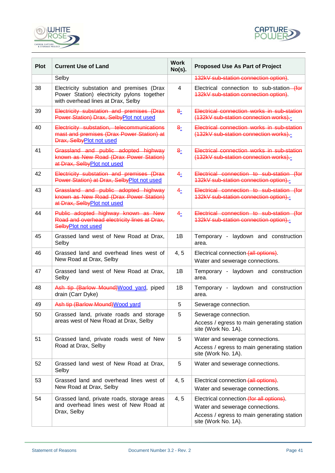



| <b>Plot</b> | <b>Current Use of Land</b>                                                                                                    | <b>Work</b><br>$No(s)$ . | <b>Proposed Use As Part of Project</b>                                                                                                           |
|-------------|-------------------------------------------------------------------------------------------------------------------------------|--------------------------|--------------------------------------------------------------------------------------------------------------------------------------------------|
|             | Selby                                                                                                                         |                          | 132kV sub-station connection option).                                                                                                            |
| 38          | Electricity substation and premises (Drax<br>Power Station) electricity pylons together<br>with overhead lines at Drax, Selby | 4                        | Electrical connection to sub-station-(for<br>132kV sub-station connection option).                                                               |
| 39          | Electricity substation and premises (Drax<br>Power Station) Drax, SelbyPlot not used                                          | 8−                       | Electrical connection works in sub-station<br>(132kV sub-station connection works).-                                                             |
| 40          | Electricity substation, telecommunications<br>mast and premises (Drax Power Station) at<br>Drax, SelbyPlot not used           | 8 <sub>2</sub>           | Electrical connection works in sub-station<br>(132kV sub-station connection works).                                                              |
| 41          | Grassland and public adopted highway<br>known as New Road (Drax Power Station)<br>at Drax, Selby Plot not used                | 8 <sub>2</sub>           | Electrical connection works in sub-station<br>(132kV sub-station connection works).-                                                             |
| 42          | Electricity substation and premises (Drax<br>Power Station) at Drax, SelbyPlot not used                                       | 4 <sub>2</sub>           | Electrical connection to sub-station (for<br>132kV sub-station connection option).-                                                              |
| 43          | Grassland and public adopted highway<br>known as New Road (Drax Power Station)<br>at Drax, SelbyPlot not used                 | 4 <sub>2</sub>           | Electrical connection to sub-station (for<br>132kV sub-station connection option)--                                                              |
| 44          | Public adopted highway known as New<br>Road and overhead electricity lines at Drax,<br>SelbyPlot not used                     | 4 <sub>2</sub>           | Electrical connection to sub-station (for<br>132kV sub-station connection option).-                                                              |
| 45          | Grassed land west of New Road at Drax,<br>Selby                                                                               | 1B                       | Temporary - laydown and construction<br>area.                                                                                                    |
| 46          | Grassed land and overhead lines west of<br>New Road at Drax, Selby                                                            | 4, 5                     | Electrical connection (all options).<br>Water and sewerage connections.                                                                          |
| 47          | Grassed land west of New Road at Drax,<br>Selby                                                                               | 1B                       | Temporary - laydown and construction<br>area.                                                                                                    |
| 48          | Ash tip (Barlow Mound) Wood yard, piped<br>drain (Carr Dyke)                                                                  | 1B                       | Temporary - laydown and construction<br>area.                                                                                                    |
| 49          | Ash tip (Barlow Mound) Wood yard                                                                                              | 5                        | Sewerage connection.                                                                                                                             |
| 50          | Grassed land, private roads and storage                                                                                       | 5                        | Sewerage connection.                                                                                                                             |
|             | areas west of New Road at Drax, Selby                                                                                         |                          | Access / egress to main generating station<br>site (Work No. 1A).                                                                                |
| 51          | Grassed land, private roads west of New                                                                                       | 5                        | Water and sewerage connections.                                                                                                                  |
|             | Road at Drax, Selby                                                                                                           |                          | Access / egress to main generating station<br>site (Work No. 1A).                                                                                |
| 52          | Grassed land west of New Road at Drax,<br>Selby                                                                               | 5                        | Water and sewerage connections.                                                                                                                  |
| 53          | Grassed land and overhead lines west of<br>New Road at Drax, Selby                                                            | 4, 5                     | Electrical connection-(all options).<br>Water and sewerage connections.                                                                          |
| 54          | Grassed land, private roads, storage areas<br>and overhead lines west of New Road at<br>Drax, Selby                           | 4, 5                     | Electrical connection (for all options).<br>Water and sewerage connections.<br>Access / egress to main generating station<br>site (Work No. 1A). |